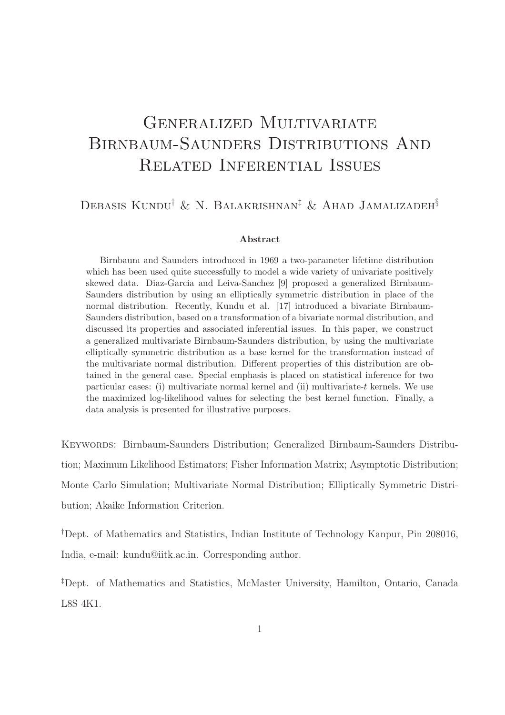# GENERALIZED MULTIVARIATE Birnbaum-Saunders Distributions And Related Inferential Issues

## Debasis Kundu† & N. Balakrishnan‡ & Ahad Jamalizadeh§

#### Abstract

Birnbaum and Saunders introduced in 1969 a two-parameter lifetime distribution which has been used quite successfully to model a wide variety of univariate positively skewed data. Diaz-Garcia and Leiva-Sanchez [9] proposed a generalized Birnbaum-Saunders distribution by using an elliptically symmetric distribution in place of the normal distribution. Recently, Kundu et al. [17] introduced a bivariate Birnbaum-Saunders distribution, based on a transformation of a bivariate normal distribution, and discussed its properties and associated inferential issues. In this paper, we construct a generalized multivariate Birnbaum-Saunders distribution, by using the multivariate elliptically symmetric distribution as a base kernel for the transformation instead of the multivariate normal distribution. Different properties of this distribution are obtained in the general case. Special emphasis is placed on statistical inference for two particular cases: (i) multivariate normal kernel and (ii) multivariate-t kernels. We use the maximized log-likelihood values for selecting the best kernel function. Finally, a data analysis is presented for illustrative purposes.

Keywords: Birnbaum-Saunders Distribution; Generalized Birnbaum-Saunders Distribution; Maximum Likelihood Estimators; Fisher Information Matrix; Asymptotic Distribution; Monte Carlo Simulation; Multivariate Normal Distribution; Elliptically Symmetric Distribution; Akaike Information Criterion.

†Dept. of Mathematics and Statistics, Indian Institute of Technology Kanpur, Pin 208016, India, e-mail: kundu@iitk.ac.in. Corresponding author.

‡Dept. of Mathematics and Statistics, McMaster University, Hamilton, Ontario, Canada L8S 4K1.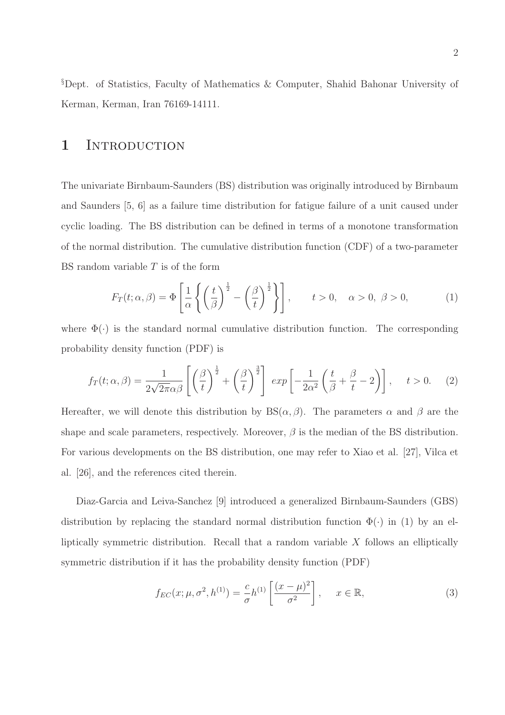§Dept. of Statistics, Faculty of Mathematics & Computer, Shahid Bahonar University of Kerman, Kerman, Iran 76169-14111.

### 1 INTRODUCTION

The univariate Birnbaum-Saunders (BS) distribution was originally introduced by Birnbaum and Saunders [5, 6] as a failure time distribution for fatigue failure of a unit caused under cyclic loading. The BS distribution can be defined in terms of a monotone transformation of the normal distribution. The cumulative distribution function (CDF) of a two-parameter BS random variable  $T$  is of the form

$$
F_T(t; \alpha, \beta) = \Phi\left[\frac{1}{\alpha} \left\{ \left(\frac{t}{\beta}\right)^{\frac{1}{2}} - \left(\frac{\beta}{t}\right)^{\frac{1}{2}} \right\} \right], \qquad t > 0, \quad \alpha > 0, \quad \beta > 0,
$$
 (1)

where  $\Phi(\cdot)$  is the standard normal cumulative distribution function. The corresponding probability density function (PDF) is

$$
f_T(t; \alpha, \beta) = \frac{1}{2\sqrt{2\pi}\alpha\beta} \left[ \left(\frac{\beta}{t}\right)^{\frac{1}{2}} + \left(\frac{\beta}{t}\right)^{\frac{3}{2}} \right] \exp\left[ -\frac{1}{2\alpha^2} \left(\frac{t}{\beta} + \frac{\beta}{t} - 2\right) \right], \quad t > 0. \quad (2)
$$

Hereafter, we will denote this distribution by  $BS(\alpha, \beta)$ . The parameters  $\alpha$  and  $\beta$  are the shape and scale parameters, respectively. Moreover,  $\beta$  is the median of the BS distribution. For various developments on the BS distribution, one may refer to Xiao et al. [27], Vilca et al. [26], and the references cited therein.

Diaz-Garcia and Leiva-Sanchez [9] introduced a generalized Birnbaum-Saunders (GBS) distribution by replacing the standard normal distribution function  $\Phi(\cdot)$  in (1) by an elliptically symmetric distribution. Recall that a random variable  $X$  follows an elliptically symmetric distribution if it has the probability density function (PDF)

$$
f_{EC}(x; \mu, \sigma^2, h^{(1)}) = \frac{c}{\sigma} h^{(1)} \left[ \frac{(x - \mu)^2}{\sigma^2} \right], \quad x \in \mathbb{R},
$$
 (3)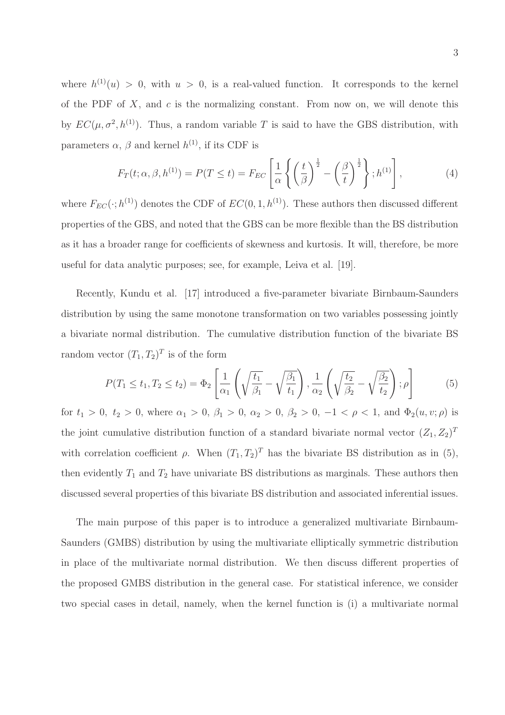where  $h^{(1)}(u) > 0$ , with  $u > 0$ , is a real-valued function. It corresponds to the kernel of the PDF of  $X$ , and  $c$  is the normalizing constant. From now on, we will denote this by  $EC(\mu, \sigma^2, h^{(1)})$ . Thus, a random variable T is said to have the GBS distribution, with parameters  $\alpha$ ,  $\beta$  and kernel  $h^{(1)}$ , if its CDF is

$$
F_T(t; \alpha, \beta, h^{(1)}) = P(T \le t) = F_{EC} \left[ \frac{1}{\alpha} \left\{ \left( \frac{t}{\beta} \right)^{\frac{1}{2}} - \left( \frac{\beta}{t} \right)^{\frac{1}{2}} \right\}; h^{(1)} \right],
$$
 (4)

where  $F_{EC}(\cdot; h^{(1)})$  denotes the CDF of  $EC(0, 1, h^{(1)})$ . These authors then discussed different properties of the GBS, and noted that the GBS can be more flexible than the BS distribution as it has a broader range for coefficients of skewness and kurtosis. It will, therefore, be more useful for data analytic purposes; see, for example, Leiva et al. [19].

Recently, Kundu et al. [17] introduced a five-parameter bivariate Birnbaum-Saunders distribution by using the same monotone transformation on two variables possessing jointly a bivariate normal distribution. The cumulative distribution function of the bivariate BS random vector  $(T_1, T_2)^T$  is of the form

$$
P(T_1 \le t_1, T_2 \le t_2) = \Phi_2 \left[ \frac{1}{\alpha_1} \left( \sqrt{\frac{t_1}{\beta_1}} - \sqrt{\frac{\beta_1}{t_1}} \right), \frac{1}{\alpha_2} \left( \sqrt{\frac{t_2}{\beta_2}} - \sqrt{\frac{\beta_2}{t_2}} \right); \rho \right] \tag{5}
$$

for  $t_1 > 0$ ,  $t_2 > 0$ , where  $\alpha_1 > 0$ ,  $\beta_1 > 0$ ,  $\alpha_2 > 0$ ,  $\beta_2 > 0$ ,  $-1 < \rho < 1$ , and  $\Phi_2(u, v; \rho)$  is the joint cumulative distribution function of a standard bivariate normal vector  $(Z_1, Z_2)^T$ with correlation coefficient  $\rho$ . When  $(T_1, T_2)^T$  has the bivariate BS distribution as in (5), then evidently  $T_1$  and  $T_2$  have univariate BS distributions as marginals. These authors then discussed several properties of this bivariate BS distribution and associated inferential issues.

The main purpose of this paper is to introduce a generalized multivariate Birnbaum-Saunders (GMBS) distribution by using the multivariate elliptically symmetric distribution in place of the multivariate normal distribution. We then discuss different properties of the proposed GMBS distribution in the general case. For statistical inference, we consider two special cases in detail, namely, when the kernel function is (i) a multivariate normal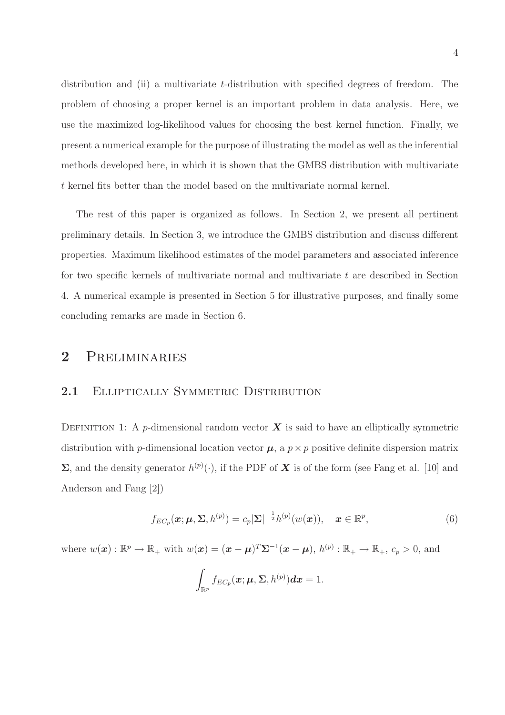distribution and (ii) a multivariate *t*-distribution with specified degrees of freedom. The problem of choosing a proper kernel is an important problem in data analysis. Here, we use the maximized log-likelihood values for choosing the best kernel function. Finally, we present a numerical example for the purpose of illustrating the model as well as the inferential methods developed here, in which it is shown that the GMBS distribution with multivariate t kernel fits better than the model based on the multivariate normal kernel.

The rest of this paper is organized as follows. In Section 2, we present all pertinent preliminary details. In Section 3, we introduce the GMBS distribution and discuss different properties. Maximum likelihood estimates of the model parameters and associated inference for two specific kernels of multivariate normal and multivariate t are described in Section 4. A numerical example is presented in Section 5 for illustrative purposes, and finally some concluding remarks are made in Section 6.

### 2 Preliminaries

#### 2.1 ELLIPTICALLY SYMMETRIC DISTRIBUTION

DEFINITION 1: A p-dimensional random vector  $\boldsymbol{X}$  is said to have an elliptically symmetric distribution with p-dimensional location vector  $\mu$ , a  $p \times p$  positive definite dispersion matrix  $\Sigma$ , and the density generator  $h^{(p)}(\cdot)$ , if the PDF of  $X$  is of the form (see Fang et al. [10] and Anderson and Fang [2])

$$
f_{EC_p}(\boldsymbol{x}; \boldsymbol{\mu}, \boldsymbol{\Sigma}, h^{(p)}) = c_p |\boldsymbol{\Sigma}|^{-\frac{1}{2}} h^{(p)}(w(\boldsymbol{x})), \quad \boldsymbol{x} \in \mathbb{R}^p,
$$
\n(6)

where  $w(\boldsymbol{x}): \mathbb{R}^p \to \mathbb{R}_+$  with  $w(\boldsymbol{x}) = (\boldsymbol{x} - \boldsymbol{\mu})^T \boldsymbol{\Sigma}^{-1} (\boldsymbol{x} - \boldsymbol{\mu}), h^{(p)} : \mathbb{R}_+ \to \mathbb{R}_+, c_p > 0$ , and

$$
\int_{\mathbb{R}^p} f_{EC_p}(\boldsymbol{x}; \boldsymbol{\mu}, \boldsymbol{\Sigma}, h^{(p)}) d\boldsymbol{x} = 1.
$$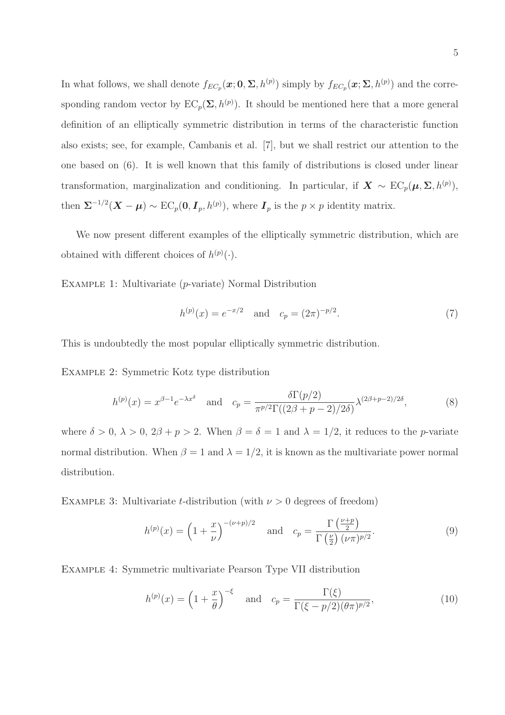In what follows, we shall denote  $f_{EC_p}(\mathbf{x}; 0, \Sigma, h^{(p)})$  simply by  $f_{EC_p}(\mathbf{x}; \Sigma, h^{(p)})$  and the corresponding random vector by  $EC_p(\Sigma, h^{(p)})$ . It should be mentioned here that a more general definition of an elliptically symmetric distribution in terms of the characteristic function also exists; see, for example, Cambanis et al. [7], but we shall restrict our attention to the one based on (6). It is well known that this family of distributions is closed under linear transformation, marginalization and conditioning. In particular, if  $X \sim EC_p(\mu, \Sigma, h^{(p)})$ , then  $\Sigma^{-1/2}(\boldsymbol{X}-\boldsymbol{\mu}) \sim \text{EC}_p(\boldsymbol{0}, \boldsymbol{I}_p, h^{(p)})$ , where  $\boldsymbol{I}_p$  is the  $p \times p$  identity matrix.

We now present different examples of the elliptically symmetric distribution, which are obtained with different choices of  $h^{(p)}(\cdot)$ .

Example 1: Multivariate (p-variate) Normal Distribution

$$
h^{(p)}(x) = e^{-x/2} \quad \text{and} \quad c_p = (2\pi)^{-p/2}.
$$
 (7)

This is undoubtedly the most popular elliptically symmetric distribution.

Example 2: Symmetric Kotz type distribution

$$
h^{(p)}(x) = x^{\beta - 1} e^{-\lambda x^{\delta}} \quad \text{and} \quad c_p = \frac{\delta \Gamma(p/2)}{\pi^{p/2} \Gamma((2\beta + p - 2)/2\delta)} \lambda^{(2\beta + p - 2)/2\delta}, \tag{8}
$$

where  $\delta > 0$ ,  $\lambda > 0$ ,  $2\beta + p > 2$ . When  $\beta = \delta = 1$  and  $\lambda = 1/2$ , it reduces to the *p*-variate normal distribution. When  $\beta = 1$  and  $\lambda = 1/2$ , it is known as the multivariate power normal distribution.

EXAMPLE 3: Multivariate t-distribution (with  $\nu > 0$  degrees of freedom)

$$
h^{(p)}(x) = \left(1 + \frac{x}{\nu}\right)^{-(\nu+p)/2} \quad \text{and} \quad c_p = \frac{\Gamma\left(\frac{\nu+p}{2}\right)}{\Gamma\left(\frac{\nu}{2}\right)(\nu\pi)^{p/2}}.\tag{9}
$$

Example 4: Symmetric multivariate Pearson Type VII distribution

$$
h^{(p)}(x) = \left(1 + \frac{x}{\theta}\right)^{-\xi} \quad \text{and} \quad c_p = \frac{\Gamma(\xi)}{\Gamma(\xi - p/2)(\theta \pi)^{p/2}},\tag{10}
$$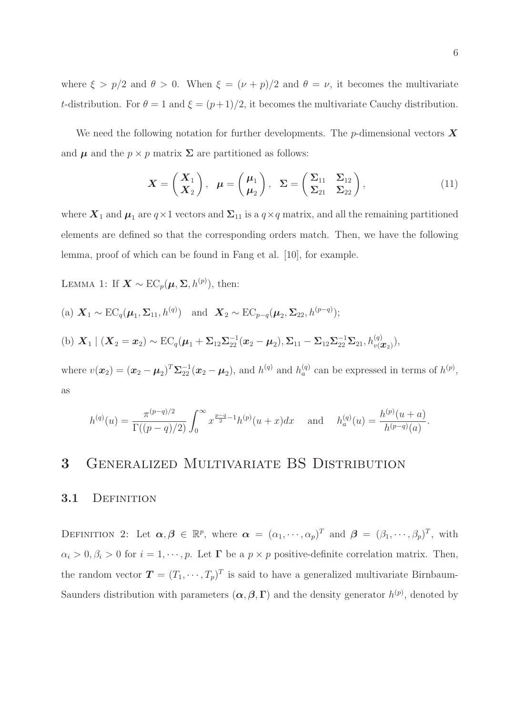where  $\xi > p/2$  and  $\theta > 0$ . When  $\xi = (\nu + p)/2$  and  $\theta = \nu$ , it becomes the multivariate t-distribution. For  $\theta = 1$  and  $\xi = (p+1)/2$ , it becomes the multivariate Cauchy distribution.

We need the following notation for further developments. The p-dimensional vectors  $\boldsymbol{X}$ and  $\mu$  and the  $p \times p$  matrix  $\Sigma$  are partitioned as follows:

$$
\boldsymbol{X} = \begin{pmatrix} \boldsymbol{X}_1 \\ \boldsymbol{X}_2 \end{pmatrix}, \ \boldsymbol{\mu} = \begin{pmatrix} \boldsymbol{\mu}_1 \\ \boldsymbol{\mu}_2 \end{pmatrix}, \ \boldsymbol{\Sigma} = \begin{pmatrix} \boldsymbol{\Sigma}_{11} & \boldsymbol{\Sigma}_{12} \\ \boldsymbol{\Sigma}_{21} & \boldsymbol{\Sigma}_{22} \end{pmatrix}, \tag{11}
$$

where  $X_1$  and  $\mu_1$  are  $q \times 1$  vectors and  $\Sigma_{11}$  is a  $q \times q$  matrix, and all the remaining partitioned elements are defined so that the corresponding orders match. Then, we have the following lemma, proof of which can be found in Fang et al. [10], for example.

LEMMA 1: If  $\mathbf{X} \sim \text{EC}_p(\boldsymbol{\mu}, \boldsymbol{\Sigma}, h^{(p)})$ , then:

(a) 
$$
\mathbf{X}_1 \sim \text{EC}_q(\boldsymbol{\mu}_1, \boldsymbol{\Sigma}_{11}, h^{(q)})
$$
 and  $\mathbf{X}_2 \sim \text{EC}_{p-q}(\boldsymbol{\mu}_2, \boldsymbol{\Sigma}_{22}, h^{(p-q)});$   
\n(b)  $\mathbf{X}_1 | (\mathbf{X}_2 = \mathbf{x}_2) \sim \text{EC}_q(\boldsymbol{\mu}_1 + \boldsymbol{\Sigma}_{12} \boldsymbol{\Sigma}_{22}^{-1} (\mathbf{x}_2 - \boldsymbol{\mu}_2), \boldsymbol{\Sigma}_{11} - \boldsymbol{\Sigma}_{12} \boldsymbol{\Sigma}_{22}^{-1} \boldsymbol{\Sigma}_{21}, h^{(q)}_{v(\boldsymbol{\mathcal{X}}_2)}),$ 

where  $v(x_2) = (x_2 - \mu_2)^T \Sigma_{22}^{-1} (x_2 - \mu_2)$ , and  $h_q^{(q)}$  and  $h_a^{(q)}$  can be expressed in terms of  $h^{(p)}$ , as

$$
h^{(q)}(u) = \frac{\pi^{(p-q)/2}}{\Gamma((p-q)/2)} \int_0^\infty x^{\frac{p-q}{2}-1} h^{(p)}(u+x) dx \quad \text{and} \quad h_a^{(q)}(u) = \frac{h^{(p)}(u+a)}{h^{(p-q)}(a)}.
$$

### 3 Generalized Multivariate BS Distribution

#### 3.1 DEFINITION

DEFINITION 2: Let  $\alpha, \beta \in \mathbb{R}^p$ , where  $\alpha = (\alpha_1, \dots, \alpha_p)^T$  and  $\beta = (\beta_1, \dots, \beta_p)^T$ , with  $\alpha_i > 0, \beta_i > 0$  for  $i = 1, \dots, p$ . Let  $\Gamma$  be a  $p \times p$  positive-definite correlation matrix. Then, the random vector  $\mathbf{T} = (T_1, \dots, T_p)^T$  is said to have a generalized multivariate Birnbaum-Saunders distribution with parameters  $(\alpha, \beta, \Gamma)$  and the density generator  $h^{(p)}$ , denoted by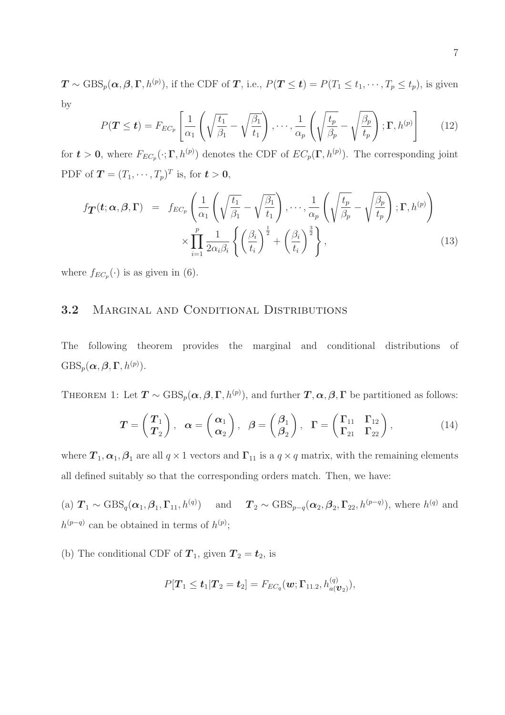$\mathbf{T} \sim \text{GBS}_p(\boldsymbol{\alpha}, \boldsymbol{\beta}, \boldsymbol{\Gamma}, h^{(p)}),$  if the CDF of  $\boldsymbol{T}$ , i.e.,  $P(\boldsymbol{T} \leq \boldsymbol{t}) = P(T_1 \leq t_1, \cdots, T_p \leq t_p),$  is given by

$$
P(\mathbf{T} \leq \mathbf{t}) = F_{EC_p} \left[ \frac{1}{\alpha_1} \left( \sqrt{\frac{t_1}{\beta_1}} - \sqrt{\frac{\beta_1}{t_1}} \right), \cdots, \frac{1}{\alpha_p} \left( \sqrt{\frac{t_p}{\beta_p}} - \sqrt{\frac{\beta_p}{t_p}} \right); \Gamma, h^{(p)} \right] \tag{12}
$$

for  $t > 0$ , where  $F_{EC_p}(\cdot; \Gamma, h^{(p)})$  denotes the CDF of  $EC_p(\Gamma, h^{(p)})$ . The corresponding joint PDF of  $\boldsymbol{T} = (T_1, \cdots, T_p)^T$  is, for  $\boldsymbol{t} > \boldsymbol{0}$ ,

$$
f_{\boldsymbol{T}}(t; \boldsymbol{\alpha}, \boldsymbol{\beta}, \boldsymbol{\Gamma}) = f_{EC_p} \left( \frac{1}{\alpha_1} \left( \sqrt{\frac{t_1}{\beta_1}} - \sqrt{\frac{\beta_1}{t_1}} \right), \cdots, \frac{1}{\alpha_p} \left( \sqrt{\frac{t_p}{\beta_p}} - \sqrt{\frac{\beta_p}{t_p}} \right); \boldsymbol{\Gamma}, h^{(p)} \right) \times \prod_{i=1}^p \frac{1}{2\alpha_i \beta_i} \left\{ \left( \frac{\beta_i}{t_i} \right)^{\frac{1}{2}} + \left( \frac{\beta_i}{t_i} \right)^{\frac{3}{2}} \right\},
$$
\n(13)

where  $f_{EC_p}(\cdot)$  is as given in (6).

#### 3.2 MARGINAL AND CONDITIONAL DISTRIBUTIONS

The following theorem provides the marginal and conditional distributions of  $\mathrm{GBS}_p(\boldsymbol{\alpha}, \boldsymbol{\beta}, \boldsymbol{\Gamma}, h^{(p)}).$ 

THEOREM 1: Let  $T \sim \text{GBS}_p(\boldsymbol{\alpha}, \boldsymbol{\beta}, \boldsymbol{\Gamma}, h^{(p)})$ , and further  $T, \boldsymbol{\alpha}, \boldsymbol{\beta}, \boldsymbol{\Gamma}$  be partitioned as follows:

$$
T = \begin{pmatrix} T_1 \\ T_2 \end{pmatrix}, \quad \alpha = \begin{pmatrix} \alpha_1 \\ \alpha_2 \end{pmatrix}, \quad \beta = \begin{pmatrix} \beta_1 \\ \beta_2 \end{pmatrix}, \quad \Gamma = \begin{pmatrix} \Gamma_{11} & \Gamma_{12} \\ \Gamma_{21} & \Gamma_{22} \end{pmatrix}, \tag{14}
$$

where  $T_1, \alpha_1, \beta_1$  are all  $q \times 1$  vectors and  $\Gamma_{11}$  is a  $q \times q$  matrix, with the remaining elements all defined suitably so that the corresponding orders match. Then, we have:

(a)  $\mathbf{T}_1 \sim \text{GBS}_q(\boldsymbol{\alpha}_1, \boldsymbol{\beta}_1, \boldsymbol{\Gamma}_{11}, h^{(q)})$  and  $\mathbf{T}_2 \sim \text{GBS}_{p-q}(\boldsymbol{\alpha}_2, \boldsymbol{\beta}_2, \boldsymbol{\Gamma}_{22}, h^{(p-q)})$ , where  $h^{(q)}$  and  $h^{(p-q)}$  can be obtained in terms of  $h^{(p)}$ ;

(b) The conditional CDF of  $T_1$ , given  $T_2 = t_2$ , is

$$
P[\boldsymbol{T}_1 \leq \boldsymbol{t}_1 | \boldsymbol{T}_2 = \boldsymbol{t}_2] = F_{EC_q}(\boldsymbol{w};\boldsymbol{\Gamma}_{11.2}, h_{a(\boldsymbol{\mathcal{V}}_2)}^{(q)}),
$$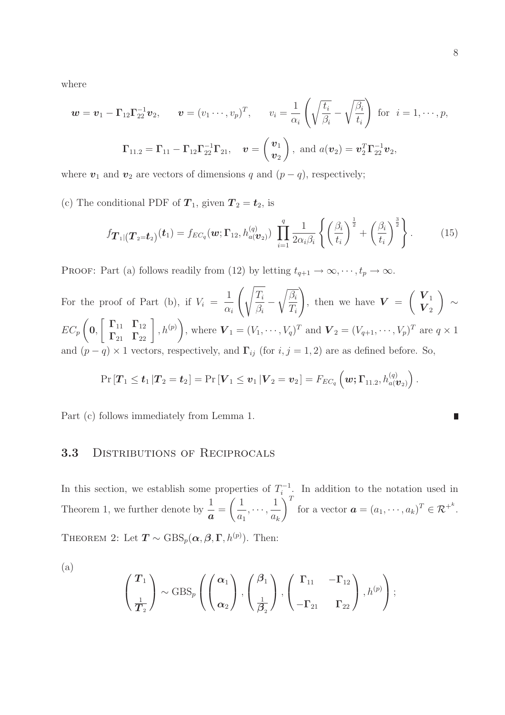where

$$
\mathbf{w} = \mathbf{v}_1 - \mathbf{\Gamma}_{12} \mathbf{\Gamma}_{22}^{-1} \mathbf{v}_2, \qquad \mathbf{v} = (v_1 \cdots, v_p)^T, \qquad v_i = \frac{1}{\alpha_i} \left( \sqrt{\frac{t_i}{\beta_i}} - \sqrt{\frac{\beta_i}{t_i}} \right) \text{ for } i = 1, \cdots, p,
$$

$$
\mathbf{\Gamma}_{11.2} = \mathbf{\Gamma}_{11} - \mathbf{\Gamma}_{12} \mathbf{\Gamma}_{22}^{-1} \mathbf{\Gamma}_{21}, \quad \mathbf{v} = \begin{pmatrix} \mathbf{v}_1 \\ \mathbf{v}_2 \end{pmatrix}, \text{ and } a(\mathbf{v}_2) = \mathbf{v}_2^T \mathbf{\Gamma}_{22}^{-1} \mathbf{v}_2,
$$

where  $v_1$  and  $v_2$  are vectors of dimensions q and  $(p - q)$ , respectively;

(c) The conditional PDF of  $T_1$ , given  $T_2 = t_2$ , is

$$
f_{\boldsymbol{T}_{1}|(\boldsymbol{T}_{2}=\boldsymbol{t}_{2})}(\boldsymbol{t}_{1})=f_{EC_{q}}(\boldsymbol{w};\boldsymbol{\Gamma}_{12},h_{a(\boldsymbol{v}_{2})}^{(q)})\prod_{i=1}^{q}\frac{1}{2\alpha_{i}\beta_{i}}\left\{\left(\frac{\beta_{i}}{t_{i}}\right)^{\frac{1}{2}}+\left(\frac{\beta_{i}}{t_{i}}\right)^{\frac{3}{2}}\right\}.
$$
 (15)

PROOF: Part (a) follows readily from (12) by letting  $t_{q+1} \to \infty, \dots, t_p \to \infty$ .

For the proof of Part (b), if  $V_i =$ 1  $\alpha_i$  $\int \sqrt{T_i}$  $\overline{\beta_i}$  –  $\sqrt{\beta_i}$  $T_i$ ! , then we have  $V =$  $\left( V_1 \right)$  $\boldsymbol{V}_2$  $\setminus$ ∼  $EC_p$  $\sqrt{ }$ 0,  $\left[\begin{array}{cc} \Gamma_{11} & \Gamma_{12} \ \Gamma_{21} & \Gamma_{22} \end{array}\right], h^{(p)}$  $\setminus$ , where  $\bm{V}_1 = (V_1, \cdots, V_q)^T$  and  $\bm{V}_2 = (V_{q+1}, \cdots, V_p)^T$  are  $q \times 1$ and  $(p - q) \times 1$  vectors, respectively, and  $\Gamma_{ij}$  (for  $i, j = 1, 2$ ) are as defined before. So,

$$
\Pr\left[\boldsymbol{T}_1 \leq \boldsymbol{t}_1\,|\boldsymbol{T}_2=\boldsymbol{t}_2\right] = \Pr\left[\boldsymbol{V}_1 \leq \boldsymbol{v}_1\,|\boldsymbol{V}_2=\boldsymbol{v}_2\right] = F_{EC_q}\left(\boldsymbol{w};\boldsymbol{\Gamma}_{11.2},h_{a(\boldsymbol{\mathcal{V}}_2)}^{(q)}\right).
$$

Part (c) follows immediately from Lemma 1.

#### 3.3 DISTRIBUTIONS OF RECIPROCALS

In this section, we establish some properties of  $T_i^{-1}$  $\sum_{i=1}^{n-1}$ . In addition to the notation used in Theorem 1, we further denote by  $\frac{1}{a}$  =  $\sqrt{1}$  $\frac{1}{a_1}, \cdots,$ 1  $a_k$  $\setminus^T$ for a vector  $\mathbf{a} = (a_1, \dots, a_k)^T \in \mathcal{R}^{+^k}$ . THEOREM 2: Let  $T \sim \text{GBS}_p(\boldsymbol{\alpha}, \boldsymbol{\beta}, \boldsymbol{\Gamma}, h^{(p)})$ . Then:

(a)

$$
\left(\frac{T_1}{T_2}\right) \sim \text{GBS}_p\left(\left(\frac{\alpha_1}{\alpha_2}\right), \left(\frac{\beta_1}{\frac{1}{\beta_2}}\right), \left(\frac{\Gamma_{11}}{-\Gamma_{21}} - \Gamma_{12}\right), h^{(p)}\right);
$$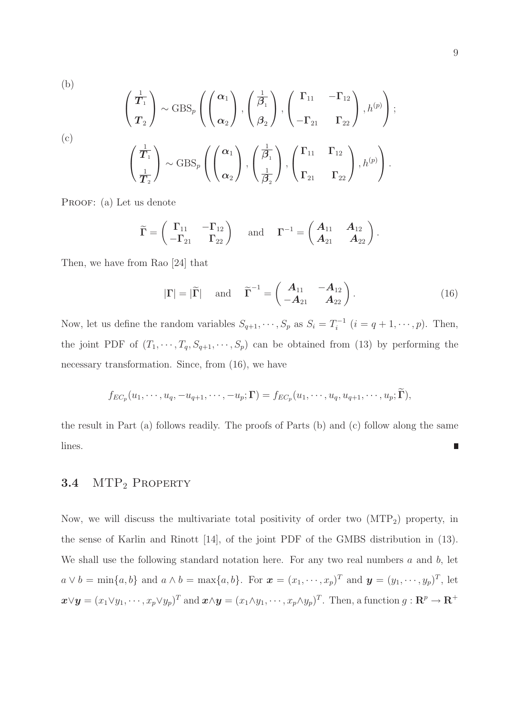(b)  
\n
$$
\begin{pmatrix}\n\frac{1}{T_1} \\
T_2\n\end{pmatrix} \sim \text{GBS}_p \left( \begin{pmatrix}\n\alpha_1 \\
\alpha_2\n\end{pmatrix}, \begin{pmatrix}\n\frac{1}{\beta_1} \\
\beta_2\n\end{pmatrix}, \begin{pmatrix}\n\Gamma_{11} & -\Gamma_{12} \\
-\Gamma_{21} & \Gamma_{22}\n\end{pmatrix}, h^{(p)} \right);
$$
\n(c)  
\n
$$
\begin{pmatrix}\n\frac{1}{T_1} \\
\frac{1}{T_2}\n\end{pmatrix} \sim \text{GBS}_p \left( \begin{pmatrix}\n\alpha_1 \\
\alpha_2\n\end{pmatrix}, \begin{pmatrix}\n\frac{1}{\beta_1} \\
\frac{1}{\beta_2}\n\end{pmatrix}, \begin{pmatrix}\n\Gamma_{11} & \Gamma_{12} \\
\Gamma_{21} & \Gamma_{22}\n\end{pmatrix}, h^{(p)} \right).
$$

PROOF: (a) Let us denote

$$
\widetilde{\Gamma} = \begin{pmatrix} \Gamma_{11} & -\Gamma_{12} \\ -\Gamma_{21} & \Gamma_{22} \end{pmatrix} \quad \text{and} \quad \Gamma^{-1} = \begin{pmatrix} A_{11} & A_{12} \\ A_{21} & A_{22} \end{pmatrix}.
$$

Then, we have from Rao [24] that

$$
|\Gamma| = |\widetilde{\Gamma}| \quad \text{and} \quad \widetilde{\Gamma}^{-1} = \begin{pmatrix} A_{11} & -A_{12} \\ -A_{21} & A_{22} \end{pmatrix}.
$$
 (16)

Now, let us define the random variables  $S_{q+1}, \dots, S_p$  as  $S_i = T_i^{-1}$  $i^{-1}$   $(i = q + 1, \dots, p)$ . Then, the joint PDF of  $(T_1, \dots, T_q, S_{q+1}, \dots, S_p)$  can be obtained from (13) by performing the necessary transformation. Since, from (16), we have

$$
f_{EC_p}(u_1,\dots,u_q,-u_{q+1},\dots,-u_p;\mathbf{\Gamma})=f_{EC_p}(u_1,\dots,u_q,u_{q+1},\dots,u_p;\mathbf{\Gamma}),
$$

the result in Part (a) follows readily. The proofs of Parts (b) and (c) follow along the same lines. ▉

### 3.4 MTP<sub>2</sub> PROPERTY

Now, we will discuss the multivariate total positivity of order two  $(MTP<sub>2</sub>)$  property, in the sense of Karlin and Rinott [14], of the joint PDF of the GMBS distribution in (13). We shall use the following standard notation here. For any two real numbers  $a$  and  $b$ , let  $a \vee b = \min\{a, b\}$  and  $a \wedge b = \max\{a, b\}$ . For  $\boldsymbol{x} = (x_1, \dots, x_p)^T$  and  $\boldsymbol{y} = (y_1, \dots, y_p)^T$ , let  $\boldsymbol{x} \vee \boldsymbol{y} = (x_1 \vee y_1, \cdots, x_p \vee y_p)^T$  and  $\boldsymbol{x} \wedge \boldsymbol{y} = (x_1 \wedge y_1, \cdots, x_p \wedge y_p)^T$ . Then, a function  $g: \mathbb{R}^p \to \mathbb{R}^+$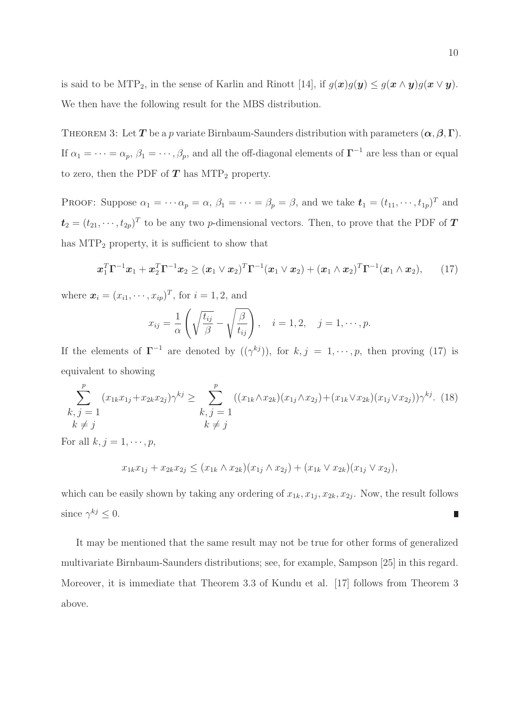is said to be MTP<sub>2</sub>, in the sense of Karlin and Rinott [14], if  $g(x)g(y) \leq g(x \wedge y)g(x \vee y)$ . We then have the following result for the MBS distribution.

THEOREM 3: Let T be a p variate Birnbaum-Saunders distribution with parameters  $(\alpha, \beta, \Gamma)$ . If  $\alpha_1 = \cdots = \alpha_p$ ,  $\beta_1 = \cdots$ ,  $\beta_p$ , and all the off-diagonal elements of  $\Gamma^{-1}$  are less than or equal to zero, then the PDF of  $T$  has MTP<sub>2</sub> property.

PROOF: Suppose  $\alpha_1 = \cdots \alpha_p = \alpha$ ,  $\beta_1 = \cdots = \beta_p = \beta$ , and we take  $\mathbf{t}_1 = (t_{11}, \cdots, t_{1p})^T$  and  $t_2 = (t_{21}, \dots, t_{2p})^T$  to be any two p-dimensional vectors. Then, to prove that the PDF of  $T$ has  $\text{MTP}_2$  property, it is sufficient to show that

$$
\boldsymbol{x}_1^T \boldsymbol{\Gamma}^{-1} \boldsymbol{x}_1 + \boldsymbol{x}_2^T \boldsymbol{\Gamma}^{-1} \boldsymbol{x}_2 \geq (\boldsymbol{x}_1 \vee \boldsymbol{x}_2)^T \boldsymbol{\Gamma}^{-1} (\boldsymbol{x}_1 \vee \boldsymbol{x}_2) + (\boldsymbol{x}_1 \wedge \boldsymbol{x}_2)^T \boldsymbol{\Gamma}^{-1} (\boldsymbol{x}_1 \wedge \boldsymbol{x}_2), \qquad (17)
$$

where  $\mathbf{x}_i = (x_{i1}, \dots, x_{ip})^T$ , for  $i = 1, 2$ , and

$$
x_{ij} = \frac{1}{\alpha} \left( \sqrt{\frac{t_{ij}}{\beta}} - \sqrt{\frac{\beta}{t_{ij}}} \right), \quad i = 1, 2, \quad j = 1, \cdots, p.
$$

If the elements of  $\Gamma^{-1}$  are denoted by  $((\gamma^{kj}))$ , for  $k, j = 1, \dots, p$ , then proving (17) is equivalent to showing

$$
\sum_{\substack{k,j=1 \ k \neq j}}^{p} (x_{1k}x_{1j} + x_{2k}x_{2j})\gamma^{kj} \ge \sum_{\substack{k,j=1 \ k \neq j}}^{p} ((x_{1k} \wedge x_{2k})(x_{1j} \wedge x_{2j}) + (x_{1k} \vee x_{2k})(x_{1j} \vee x_{2j}))\gamma^{kj}.
$$
 (18)

For all  $k, j = 1, \cdots, p$ ,

$$
x_{1k}x_{1j} + x_{2k}x_{2j} \le (x_{1k} \wedge x_{2k})(x_{1j} \wedge x_{2j}) + (x_{1k} \vee x_{2k})(x_{1j} \vee x_{2j}),
$$

which can be easily shown by taking any ordering of  $x_{1k}, x_{1j}, x_{2k}, x_{2j}$ . Now, the result follows since  $\gamma^{kj} \leq 0$ .  $\overline{\phantom{a}}$ 

It may be mentioned that the same result may not be true for other forms of generalized multivariate Birnbaum-Saunders distributions; see, for example, Sampson [25] in this regard. Moreover, it is immediate that Theorem 3.3 of Kundu et al. [17] follows from Theorem 3 above.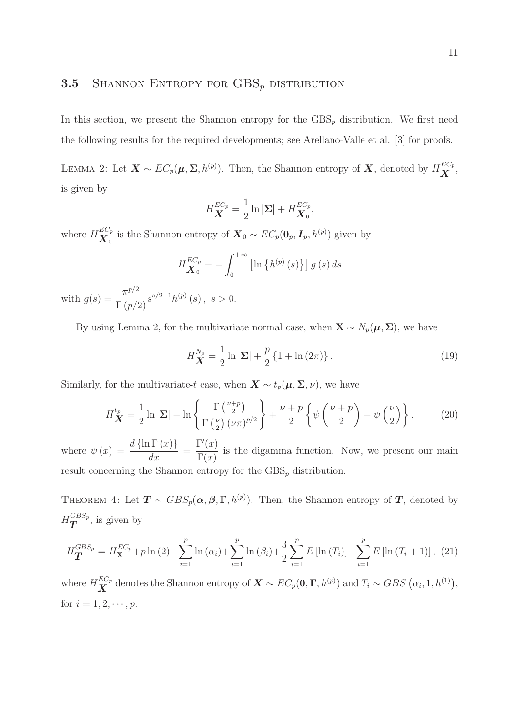### **3.5** SHANNON ENTROPY FOR  $GBS_p$  distribution

In this section, we present the Shannon entropy for the  $GBS_p$  distribution. We first need the following results for the required developments; see Arellano-Valle et al. [3] for proofs.

LEMMA 2: Let  $\bm{X} \sim EC_p(\bm{\mu},\bm{\Sigma},h^{(p)})$ . Then, the Shannon entropy of  $\bm{X}$ , denoted by  $H_{\bm{X}}^{EC_p}$  $\overset{\scriptscriptstyle{L}\cup_p}{X},$ is given by

$$
H_{\mathbf{X}}^{EC_p} = \frac{1}{2} \ln |\mathbf{\Sigma}| + H_{\mathbf{X}_0}^{EC_p},
$$

where  $H^{EC_p}_{\mathbf{Y}}$  $\mathbf{X}_0^{EC_p}$  is the Shannon entropy of  $\mathbf{X}_0 \sim EC_p(\mathbf{0}_p, \mathbf{I}_p, h^{(p)})$  given by

$$
H_{\mathbf{X}_{0}}^{EC_{p}} = -\int_{0}^{+\infty} \left[ \ln \left\{ h^{(p)}\left(s\right) \right\} \right] g\left(s\right) ds
$$

with  $g(s) = \frac{\pi^{p/2}}{\Gamma(\epsilon)}$  $\frac{\Lambda^{(1)}}{\Gamma(p/2)} s^{s/2-1} h^{(p)}(s) , s > 0.$ 

By using Lemma 2, for the multivariate normal case, when  $\mathbf{X} \sim N_p(\boldsymbol{\mu}, \boldsymbol{\Sigma})$ , we have

$$
H_{\mathbf{X}}^{N_p} = \frac{1}{2} \ln |\Sigma| + \frac{p}{2} \left\{ 1 + \ln (2\pi) \right\}.
$$
 (19)

Similarly, for the multivariate-t case, when  $\mathbf{X} \sim t_p(\boldsymbol{\mu}, \boldsymbol{\Sigma}, \nu)$ , we have

$$
H_{\mathbf{X}}^{t_p} = \frac{1}{2} \ln |\Sigma| - \ln \left\{ \frac{\Gamma\left(\frac{\nu+p}{2}\right)}{\Gamma\left(\frac{\nu}{2}\right) (\nu \pi)^{p/2}} \right\} + \frac{\nu+p}{2} \left\{ \psi \left(\frac{\nu+p}{2}\right) - \psi \left(\frac{\nu}{2}\right) \right\},\tag{20}
$$

where  $\psi(x) = \frac{d \{\ln \Gamma(x)\}}{d}$  $\frac{d}{dx} =$  $\Gamma'(x)$  $\Gamma(x)$ is the digamma function. Now, we present our main result concerning the Shannon entropy for the  $GBS_p$  distribution.

THEOREM 4: Let  $T \sim GBS_p(\alpha, \beta, \Gamma, h^{(p)})$ . Then, the Shannon entropy of  $T$ , denoted by  $\,H^{GBS_p}_{\bm{T}}$  $\overline{T}^{GBS_p}$ , is given by

$$
H_{\mathbf{T}}^{GBS_p} = H_{\mathbf{X}}^{EC_p} + p \ln(2) + \sum_{i=1}^{p} \ln(\alpha_i) + \sum_{i=1}^{p} \ln(\beta_i) + \frac{3}{2} \sum_{i=1}^{p} E\left[\ln(T_i)\right] - \sum_{i=1}^{p} E\left[\ln(T_i + 1)\right], (21)
$$

where  $H^{EC_p}_{\mathbf{Y}}$  $\mathbf{X}^{EC_p}$  denotes the Shannon entropy of  $\mathbf{X} \sim EC_p(\mathbf{0}, \mathbf{\Gamma}, h^{(p)})$  and  $T_i \sim GBS\left(\alpha_i, 1, h^{(1)}\right)$ , for  $i = 1, 2, \dots, p$ .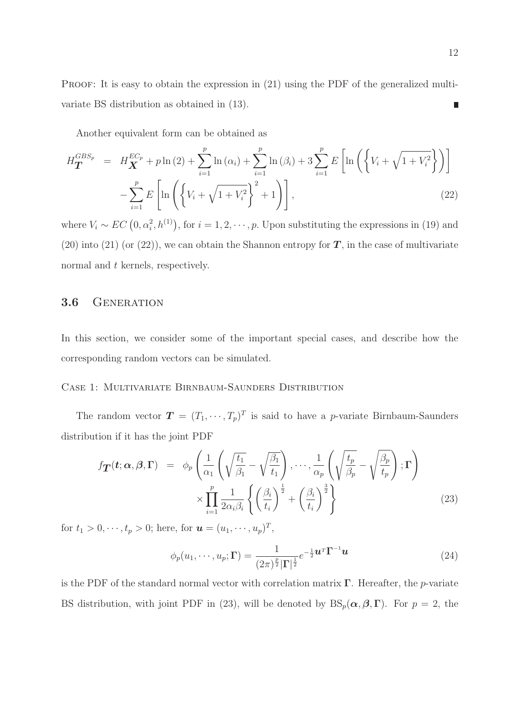PROOF: It is easy to obtain the expression in  $(21)$  using the PDF of the generalized multivariate BS distribution as obtained in (13).  $\Box$ 

Another equivalent form can be obtained as

$$
H_{\mathbf{T}}^{GBS_p} = H_{\mathbf{X}}^{EC_p} + p \ln(2) + \sum_{i=1}^{p} \ln(\alpha_i) + \sum_{i=1}^{p} \ln(\beta_i) + 3 \sum_{i=1}^{p} E\left[\ln\left(\left\{V_i + \sqrt{1 + V_i^2}\right\}\right)\right] - \sum_{i=1}^{p} E\left[\ln\left(\left\{V_i + \sqrt{1 + V_i^2}\right\}^2 + 1\right)\right],
$$
\n(22)

where  $V_i \sim EC(0, \alpha_i^2, h^{(1)})$ , for  $i = 1, 2, \dots, p$ . Upon substituting the expressions in (19) and (20) into (21) (or (22)), we can obtain the Shannon entropy for  $T$ , in the case of multivariate normal and t kernels, respectively.

### 3.6 GENERATION

In this section, we consider some of the important special cases, and describe how the corresponding random vectors can be simulated.

#### Case 1: Multivariate Birnbaum-Saunders Distribution

The random vector  $\boldsymbol{T} = (T_1, \dots, T_p)^T$  is said to have a p-variate Birnbaum-Saunders distribution if it has the joint PDF

$$
f_{\mathbf{T}}(t; \alpha, \beta, \Gamma) = \phi_p \left( \frac{1}{\alpha_1} \left( \sqrt{\frac{t_1}{\beta_1}} - \sqrt{\frac{\beta_1}{t_1}} \right), \cdots, \frac{1}{\alpha_p} \left( \sqrt{\frac{t_p}{\beta_p}} - \sqrt{\frac{\beta_p}{t_p}} \right); \Gamma \right) \times \prod_{i=1}^p \frac{1}{2\alpha_i \beta_i} \left\{ \left( \frac{\beta_i}{t_i} \right)^{\frac{1}{2}} + \left( \frac{\beta_i}{t_i} \right)^{\frac{3}{2}} \right\}
$$
(23)

for  $t_1 > 0, \dots, t_p > 0$ ; here, for  $\mathbf{u} = (u_1, \dots, u_p)^T$ ,

$$
\phi_p(u_1,\cdots,u_p;\Gamma) = \frac{1}{(2\pi)^{\frac{p}{2}}|\Gamma|^{\frac{1}{2}}}e^{-\frac{1}{2}\boldsymbol{u}^T\boldsymbol{\Gamma}^{-1}\boldsymbol{u}}
$$
\n(24)

is the PDF of the standard normal vector with correlation matrix  $\Gamma$ . Hereafter, the p-variate BS distribution, with joint PDF in (23), will be denoted by  $BS_p(\alpha, \beta, \Gamma)$ . For  $p = 2$ , the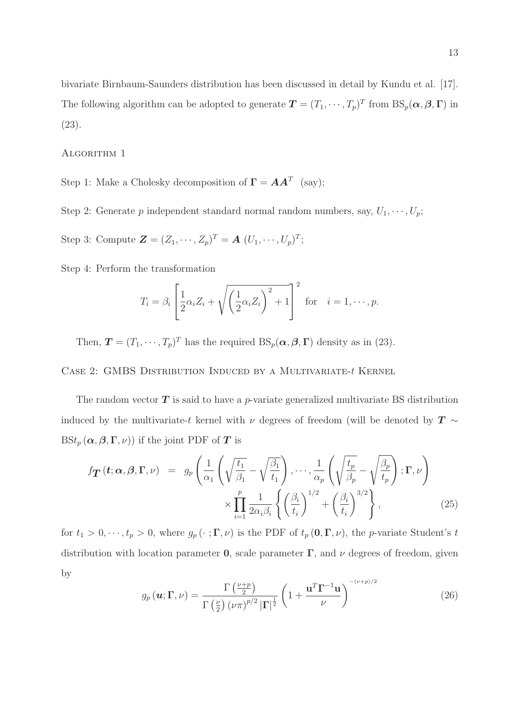bivariate Birnbaum-Saunders distribution has been discussed in detail by Kundu et al. [17]. The following algorithm can be adopted to generate  $T = (T_1, \dots, T_p)^T$  from  $BS_p(\alpha, \beta, \Gamma)$  in (23).

ALGORITHM 1

Step 1: Make a Cholesky decomposition of  $\mathbf{\Gamma} = \boldsymbol{A}\boldsymbol{A}^T$  (say);

Step 2: Generate p independent standard normal random numbers, say,  $U_1, \dots, U_p$ ;

Step 3: Compute  $\mathbf{Z} = (Z_1, \dots, Z_p)^T = \mathbf{A} (U_1, \dots, U_p)^T;$ 

Step 4: Perform the transformation

$$
T_i = \beta_i \left[ \frac{1}{2} \alpha_i Z_i + \sqrt{\left(\frac{1}{2} \alpha_i Z_i\right)^2 + 1} \right]^2
$$
 for  $i = 1, \dots, p$ .

Then,  $\mathbf{T} = (T_1, \dots, T_p)^T$  has the required  $BS_p(\alpha, \beta, \Gamma)$  density as in (23).

CASE 2: GMBS DISTRIBUTION INDUCED BY A MULTIVARIATE- $t$  KERNEL

The random vector  $T$  is said to have a p-variate generalized multivariate BS distribution induced by the multivariate-t kernel with  $\nu$  degrees of freedom (will be denoted by  $T \sim$  $BSt_p(\boldsymbol{\alpha},\boldsymbol{\beta},\boldsymbol{\Gamma},\nu))$  if the joint PDF of  $\boldsymbol{T}$  is

$$
f_{\boldsymbol{T}}(t; \boldsymbol{\alpha}, \boldsymbol{\beta}, \boldsymbol{\Gamma}, \nu) = g_p\left(\frac{1}{\alpha_1} \left(\sqrt{\frac{t_1}{\beta_1}} - \sqrt{\frac{\beta_1}{t_1}}\right), \cdots, \frac{1}{\alpha_p} \left(\sqrt{\frac{t_p}{\beta_p}} - \sqrt{\frac{\beta_p}{t_p}}\right); \boldsymbol{\Gamma}, \nu\right) \times \prod_{i=1}^p \frac{1}{2\alpha_i \beta_i} \left\{\left(\frac{\beta_i}{t_i}\right)^{1/2} + \left(\frac{\beta_i}{t_i}\right)^{3/2}\right\},
$$
(25)

for  $t_1 > 0, \dots, t_p > 0$ , where  $g_p(\cdot; \Gamma, \nu)$  is the PDF of  $t_p(0, \Gamma, \nu)$ , the p-variate Student's t distribution with location parameter **0**, scale parameter  $\Gamma$ , and  $\nu$  degrees of freedom, given by

$$
g_p(\boldsymbol{u}; \boldsymbol{\Gamma}, \nu) = \frac{\Gamma\left(\frac{\nu+p}{2}\right)}{\Gamma\left(\frac{\nu}{2}\right) \left(\nu \pi\right)^{p/2} |\boldsymbol{\Gamma}|^{\frac{1}{2}}} \left(1 + \frac{\boldsymbol{u}^T \boldsymbol{\Gamma}^{-1} \boldsymbol{u}}{\nu}\right)^{-(\nu+p)/2}
$$
(26)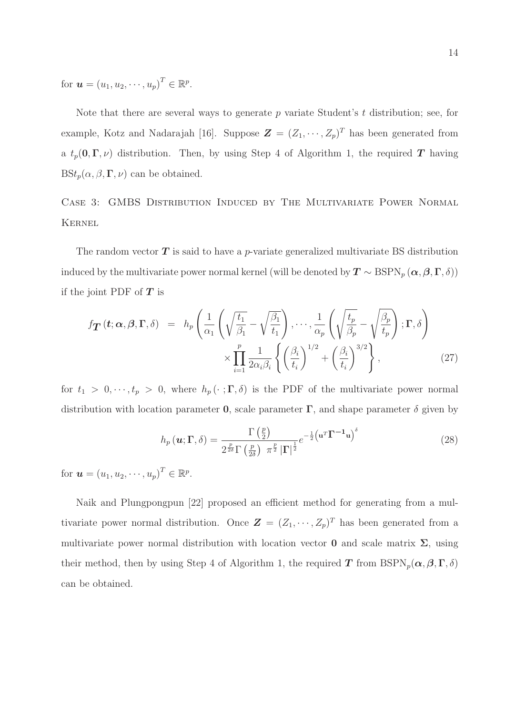for  $\bm{u} = (u_1, u_2, \cdots, u_p)^T \in \mathbb{R}^p$ .

Note that there are several ways to generate  $p$  variate Student's  $t$  distribution; see, for example, Kotz and Nadarajah [16]. Suppose  $\mathbf{Z} = (Z_1, \dots, Z_p)^T$  has been generated from a  $t_p(0,\Gamma,\nu)$  distribution. Then, by using Step 4 of Algorithm 1, the required T having  $BSt_p(\alpha, \beta, \Gamma, \nu)$  can be obtained.

Case 3: GMBS Distribution Induced by The Multivariate Power Normal **KERNEL** 

The random vector  $\boldsymbol{T}$  is said to have a p-variate generalized multivariate BS distribution induced by the multivariate power normal kernel (will be denoted by  $T \sim \text{BSPN}_p(\alpha, \beta, \Gamma, \delta)$ ) if the joint PDF of  $T$  is

$$
f_{\boldsymbol{T}}\left(t;\boldsymbol{\alpha},\boldsymbol{\beta},\boldsymbol{\Gamma},\delta\right) = h_p\left(\frac{1}{\alpha_1}\left(\sqrt{\frac{t_1}{\beta_1}}-\sqrt{\frac{\beta_1}{t_1}}\right),\cdots,\frac{1}{\alpha_p}\left(\sqrt{\frac{t_p}{\beta_p}}-\sqrt{\frac{\beta_p}{t_p}}\right);\boldsymbol{\Gamma},\delta\right) \times \prod_{i=1}^p \frac{1}{2\alpha_i\beta_i} \left\{\left(\frac{\beta_i}{t_i}\right)^{1/2}+\left(\frac{\beta_i}{t_i}\right)^{3/2}\right\},\tag{27}
$$

for  $t_1 > 0, \dots, t_p > 0$ , where  $h_p(\cdot; \Gamma, \delta)$  is the PDF of the multivariate power normal distribution with location parameter 0, scale parameter  $\Gamma$ , and shape parameter  $\delta$  given by

$$
h_p(\boldsymbol{u}; \boldsymbol{\Gamma}, \delta) = \frac{\Gamma\left(\frac{p}{2}\right)}{2^{\frac{p}{2\delta}} \Gamma\left(\frac{p}{2\delta}\right) \pi^{\frac{p}{2}} |\boldsymbol{\Gamma}|^{\frac{1}{2}}} e^{-\frac{1}{2} \left(\mathbf{u}^T \boldsymbol{\Gamma}^{-1} \mathbf{u}\right)^{\delta}}
$$
(28)

for  $\bm{u} = (u_1, u_2, \cdots, u_p)^T \in \mathbb{R}^p$ .

Naik and Plungpongpun [22] proposed an efficient method for generating from a multivariate power normal distribution. Once  $\mathbf{Z} = (Z_1, \dots, Z_p)^T$  has been generated from a multivariate power normal distribution with location vector 0 and scale matrix  $\Sigma$ , using their method, then by using Step 4 of Algorithm 1, the required T from  $\text{BSPN}_p(\alpha, \beta, \Gamma, \delta)$ can be obtained.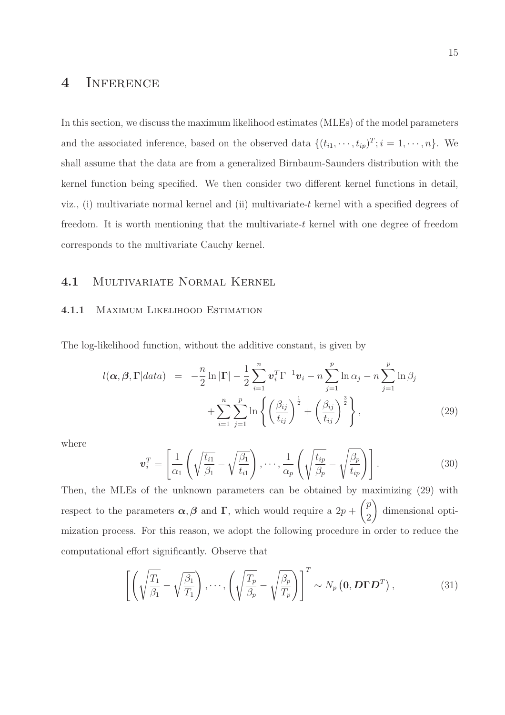### 4 INFERENCE

In this section, we discuss the maximum likelihood estimates (MLEs) of the model parameters and the associated inference, based on the observed data  $\{(t_{i1}, \dots, t_{ip})^T; i = 1, \dots, n\}$ . We shall assume that the data are from a generalized Birnbaum-Saunders distribution with the kernel function being specified. We then consider two different kernel functions in detail, viz., (i) multivariate normal kernel and (ii) multivariate-t kernel with a specified degrees of freedom. It is worth mentioning that the multivariate-t kernel with one degree of freedom corresponds to the multivariate Cauchy kernel.

### 4.1 Multivariate Normal Kernel

#### 4.1.1 Maximum Likelihood Estimation

The log-likelihood function, without the additive constant, is given by

$$
l(\boldsymbol{\alpha}, \boldsymbol{\beta}, \boldsymbol{\Gamma}|data) = -\frac{n}{2}\ln|\boldsymbol{\Gamma}| - \frac{1}{2}\sum_{i=1}^{n} \boldsymbol{v}_{i}^{T} \boldsymbol{\Gamma}^{-1} \boldsymbol{v}_{i} - n \sum_{j=1}^{p} \ln \alpha_{j} - n \sum_{j=1}^{p} \ln \beta_{j} + \sum_{i=1}^{n} \sum_{j=1}^{p} \ln \left\{ \left(\frac{\beta_{ij}}{t_{ij}}\right)^{\frac{1}{2}} + \left(\frac{\beta_{ij}}{t_{ij}}\right)^{\frac{3}{2}} \right\},
$$
\n(29)

where

$$
\boldsymbol{v}_i^T = \left[ \frac{1}{\alpha_1} \left( \sqrt{\frac{t_{i1}}{\beta_1}} - \sqrt{\frac{\beta_1}{t_{i1}}} \right), \cdots, \frac{1}{\alpha_p} \left( \sqrt{\frac{t_{ip}}{\beta_p}} - \sqrt{\frac{\beta_p}{t_{ip}}} \right) \right].
$$
 (30)

Then, the MLEs of the unknown parameters can be obtained by maximizing (29) with respect to the parameters  $\alpha, \beta$  and  $\Gamma$ , which would require a  $2p +$  $\sqrt{p}$ 2  $\setminus$ dimensional optimization process. For this reason, we adopt the following procedure in order to reduce the computational effort significantly. Observe that

$$
\left[ \left( \sqrt{\frac{T_1}{\beta_1}} - \sqrt{\frac{\beta_1}{T_1}} \right), \cdots, \left( \sqrt{\frac{T_p}{\beta_p}} - \sqrt{\frac{\beta_p}{T_p}} \right) \right]^T \sim N_p \left( \mathbf{0}, \mathbf{D} \mathbf{\Gamma} \mathbf{D}^T \right), \tag{31}
$$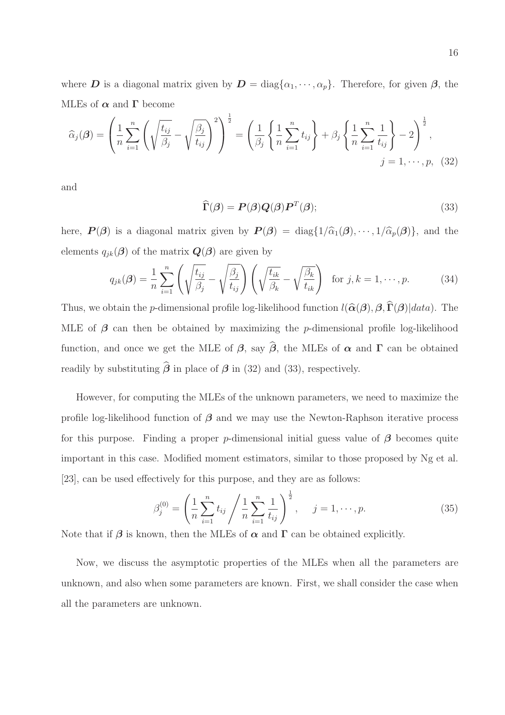where D is a diagonal matrix given by  $D = diag\{\alpha_1, \dots, \alpha_p\}$ . Therefore, for given  $\beta$ , the MLEs of  $\alpha$  and  $\Gamma$  become

$$
\widehat{\alpha}_{j}(\boldsymbol{\beta}) = \left(\frac{1}{n}\sum_{i=1}^{n} \left(\sqrt{\frac{t_{ij}}{\beta_{j}}}-\sqrt{\frac{\beta_{j}}{t_{ij}}}\right)^{2}\right)^{\frac{1}{2}} = \left(\frac{1}{\beta_{j}}\left\{\frac{1}{n}\sum_{i=1}^{n} t_{ij}\right\}+\beta_{j}\left\{\frac{1}{n}\sum_{i=1}^{n}\frac{1}{t_{ij}}\right\}-2\right)^{\frac{1}{2}},
$$
\n
$$
j = 1, \cdots, p, (32)
$$

and

$$
\widehat{\Gamma}(\boldsymbol{\beta}) = \boldsymbol{P}(\boldsymbol{\beta})\boldsymbol{Q}(\boldsymbol{\beta})\boldsymbol{P}^T(\boldsymbol{\beta});
$$
\n(33)

here,  $P(\beta)$  is a diagonal matrix given by  $P(\beta) = \text{diag}\{1/\hat{\alpha}_1(\beta), \cdots, 1/\hat{\alpha}_p(\beta)\}\$ , and the elements  $q_{ik}(\boldsymbol{\beta})$  of the matrix  $\boldsymbol{Q}(\boldsymbol{\beta})$  are given by

$$
q_{jk}(\boldsymbol{\beta}) = \frac{1}{n} \sum_{i=1}^{n} \left( \sqrt{\frac{t_{ij}}{\beta_j}} - \sqrt{\frac{\beta_j}{t_{ij}}} \right) \left( \sqrt{\frac{t_{ik}}{\beta_k}} - \sqrt{\frac{\beta_k}{t_{ik}}} \right) \text{ for } j, k = 1, \cdots, p. \tag{34}
$$

Thus, we obtain the p-dimensional profile log-likelihood function  $l(\hat{\alpha}(\beta), \beta, \Gamma(\beta))|data$ ). The MLE of  $\beta$  can then be obtained by maximizing the *p*-dimensional profile log-likelihood function, and once we get the MLE of  $\beta$ , say  $\hat{\beta}$ , the MLEs of  $\alpha$  and  $\Gamma$  can be obtained readily by substituting  $\hat{\boldsymbol{\beta}}$  in place of  $\boldsymbol{\beta}$  in (32) and (33), respectively.

However, for computing the MLEs of the unknown parameters, we need to maximize the profile log-likelihood function of  $\beta$  and we may use the Newton-Raphson iterative process for this purpose. Finding a proper p-dimensional initial guess value of  $\beta$  becomes quite important in this case. Modified moment estimators, similar to those proposed by Ng et al. [23], can be used effectively for this purpose, and they are as follows:

$$
\beta_j^{(0)} = \left(\frac{1}{n} \sum_{i=1}^n t_{ij} / \frac{1}{n} \sum_{i=1}^n \frac{1}{t_{ij}}\right)^{\frac{1}{2}}, \quad j = 1, \cdots, p. \tag{35}
$$

Note that if  $\beta$  is known, then the MLEs of  $\alpha$  and  $\Gamma$  can be obtained explicitly.

Now, we discuss the asymptotic properties of the MLEs when all the parameters are unknown, and also when some parameters are known. First, we shall consider the case when all the parameters are unknown.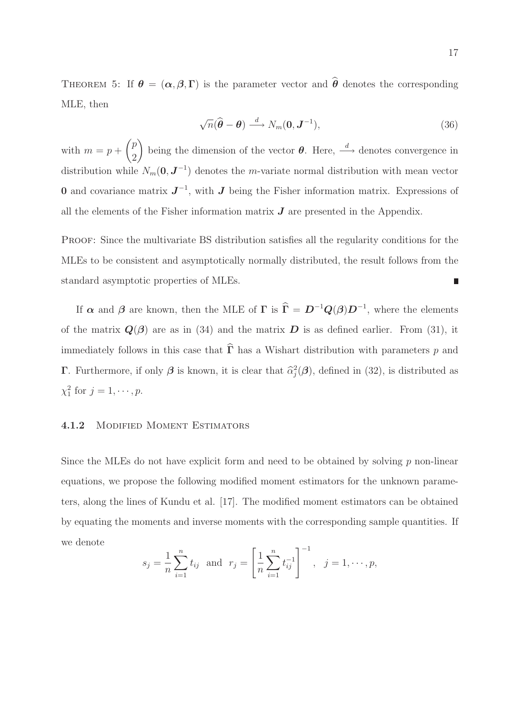THEOREM 5: If  $\theta = (\alpha, \beta, \Gamma)$  is the parameter vector and  $\hat{\theta}$  denotes the corresponding MLE, then

$$
\sqrt{n}(\widehat{\boldsymbol{\theta}} - \boldsymbol{\theta}) \stackrel{d}{\longrightarrow} N_m(\mathbf{0}, \boldsymbol{J}^{-1}),
$$
\n(36)

with  $m = p +$  $\sqrt{p}$ 2 being the dimension of the vector  $\theta$ . Here,  $\stackrel{d}{\longrightarrow}$  denotes convergence in distribution while  $N_m(0, \mathbf{J}^{-1})$  denotes the m-variate normal distribution with mean vector **0** and covariance matrix  $J^{-1}$ , with  $J$  being the Fisher information matrix. Expressions of all the elements of the Fisher information matrix  $J$  are presented in the Appendix.

Proof: Since the multivariate BS distribution satisfies all the regularity conditions for the MLEs to be consistent and asymptotically normally distributed, the result follows from the standard asymptotic properties of MLEs.  $\Box$ 

If  $\alpha$  and  $\beta$  are known, then the MLE of  $\Gamma$  is  $\hat{\Gamma} = D^{-1}Q(\beta)D^{-1}$ , where the elements of the matrix  $\mathbf{Q}(\boldsymbol{\beta})$  are as in (34) and the matrix  $\mathbf{D}$  is as defined earlier. From (31), it immediately follows in this case that  $\widehat{\Gamma}$  has a Wishart distribution with parameters p and **Γ**. Furthermore, if only  $\beta$  is known, it is clear that  $\hat{\alpha}_j^2(\beta)$ , defined in (32), is distributed as  $\chi_1^2$  for  $j = 1, \cdots, p$ .

#### 4.1.2 Modified Moment Estimators

Since the MLEs do not have explicit form and need to be obtained by solving  $p$  non-linear equations, we propose the following modified moment estimators for the unknown parameters, along the lines of Kundu et al. [17]. The modified moment estimators can be obtained by equating the moments and inverse moments with the corresponding sample quantities. If we denote

$$
s_j = \frac{1}{n} \sum_{i=1}^n t_{ij}
$$
 and  $r_j = \left[ \frac{1}{n} \sum_{i=1}^n t_{ij}^{-1} \right]^{-1}$ ,  $j = 1, \dots, p$ ,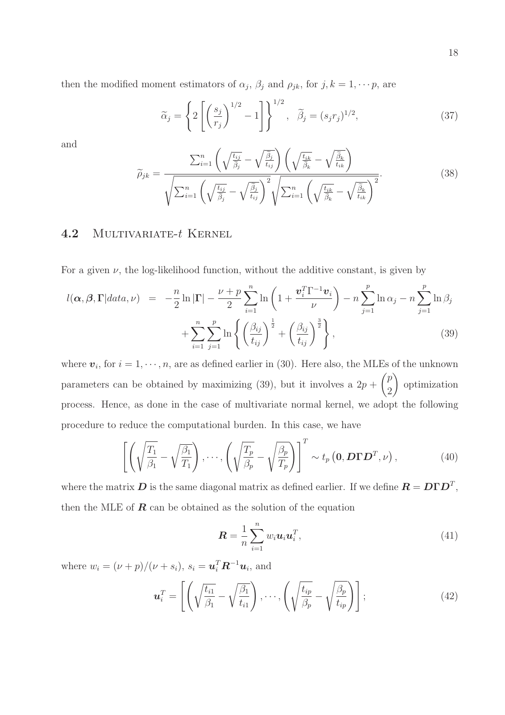then the modified moment estimators of  $\alpha_j$ ,  $\beta_j$  and  $\rho_{jk}$ , for  $j, k = 1, \dots p$ , are

$$
\widetilde{\alpha}_j = \left\{ 2 \left[ \left( \frac{s_j}{r_j} \right)^{1/2} - 1 \right] \right\}^{1/2}, \quad \widetilde{\beta}_j = (s_j r_j)^{1/2}, \tag{37}
$$

and

$$
\widetilde{\rho}_{jk} = \frac{\sum_{i=1}^{n} \left( \sqrt{\frac{t_{ij}}{\widetilde{\beta}_{j}} - \sqrt{\frac{\widetilde{\beta}_{j}}{t_{ij}}} \right) \left( \sqrt{\frac{t_{ik}}{\widetilde{\beta}_{k}} - \sqrt{\frac{\widetilde{\beta}_{k}}{t_{ik}}} \right)}}{\sqrt{\sum_{i=1}^{n} \left( \sqrt{\frac{t_{ij}}{\widetilde{\beta}_{j}} - \sqrt{\frac{\widetilde{\beta}_{j}}{t_{ij}}} \right)^{2}} \sqrt{\sum_{i=1}^{n} \left( \sqrt{\frac{t_{ik}}{\widetilde{\beta}_{k}} - \sqrt{\frac{\widetilde{\beta}_{k}}{t_{ik}}} \right)^{2}}}.
$$
\n(38)

### 4.2 MULTIVARIATE-t KERNEL

For a given  $\nu$ , the log-likelihood function, without the additive constant, is given by

$$
l(\alpha, \beta, \Gamma | data, \nu) = -\frac{n}{2} \ln |\Gamma| - \frac{\nu + p}{2} \sum_{i=1}^{n} \ln \left( 1 + \frac{\boldsymbol{v}_{i}^{T} \Gamma^{-1} \boldsymbol{v}_{i}}{\nu} \right) - n \sum_{j=1}^{p} \ln \alpha_{j} - n \sum_{j=1}^{p} \ln \beta_{j}
$$

$$
+ \sum_{i=1}^{n} \sum_{j=1}^{p} \ln \left\{ \left( \frac{\beta_{ij}}{t_{ij}} \right)^{\frac{1}{2}} + \left( \frac{\beta_{ij}}{t_{ij}} \right)^{\frac{3}{2}} \right\},
$$
(39)

where  $v_i$ , for  $i = 1, \dots, n$ , are as defined earlier in (30). Here also, the MLEs of the unknown parameters can be obtained by maximizing  $(39)$ , but it involves a  $2p +$  $\sqrt{p}$ 2  $\overline{\phantom{0}}$ optimization process. Hence, as done in the case of multivariate normal kernel, we adopt the following procedure to reduce the computational burden. In this case, we have

$$
\left[ \left( \sqrt{\frac{T_1}{\beta_1}} - \sqrt{\frac{\beta_1}{T_1}} \right), \cdots, \left( \sqrt{\frac{T_p}{\beta_p}} - \sqrt{\frac{\beta_p}{T_p}} \right) \right]^T \sim t_p \left( \mathbf{0}, \mathbf{D} \mathbf{\Gamma} \mathbf{D}^T, \nu \right), \tag{40}
$$

where the matrix  $D$  is the same diagonal matrix as defined earlier. If we define  $R = D\Gamma D^T$ , then the MLE of  $\boldsymbol{R}$  can be obtained as the solution of the equation

$$
\boldsymbol{R} = \frac{1}{n} \sum_{i=1}^{n} w_i \boldsymbol{u}_i \boldsymbol{u}_i^T,
$$
\n(41)

where  $w_i = (\nu + p)/(\nu + s_i)$ ,  $s_i = \boldsymbol{u}_i^T \boldsymbol{R}^{-1} \boldsymbol{u}_i$ , and

$$
\boldsymbol{u}_i^T = \left[ \left( \sqrt{\frac{t_{i1}}{\beta_1}} - \sqrt{\frac{\beta_1}{t_{i1}}} \right), \cdots, \left( \sqrt{\frac{t_{ip}}{\beta_p}} - \sqrt{\frac{\beta_p}{t_{ip}}} \right) \right];\tag{42}
$$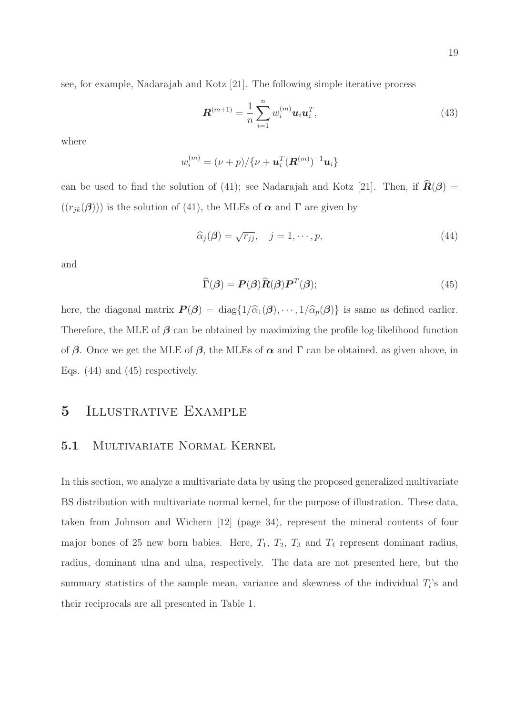see, for example, Nadarajah and Kotz [21]. The following simple iterative process

$$
\mathbf{R}^{(m+1)} = \frac{1}{n} \sum_{i=1}^{n} w_i^{(m)} \mathbf{u}_i \mathbf{u}_i^T,
$$
\n(43)

where

$$
w_i^{(m)} = (\nu + p) / {\{\nu + \mathbf{u}_i^T(\mathbf{R}^{(m)})^{-1}\mathbf{u}_i\}}
$$

can be used to find the solution of (41); see Nadarajah and Kotz [21]. Then, if  $\hat{\mathbf{R}}(\boldsymbol{\beta}) =$  $((r_{jk}(\boldsymbol{\beta})))$  is the solution of (41), the MLEs of  $\boldsymbol{\alpha}$  and  $\boldsymbol{\Gamma}$  are given by

$$
\widehat{\alpha}_j(\boldsymbol{\beta}) = \sqrt{r_{jj}}, \quad j = 1, \cdots, p,
$$
\n(44)

and

$$
\widehat{\Gamma}(\boldsymbol{\beta}) = \boldsymbol{P}(\boldsymbol{\beta})\widehat{\boldsymbol{R}}(\boldsymbol{\beta})\boldsymbol{P}^T(\boldsymbol{\beta});
$$
\n(45)

here, the diagonal matrix  $\boldsymbol{P}(\boldsymbol{\beta}) = \text{diag}\{1/\hat{\alpha}_1(\boldsymbol{\beta}), \cdots, 1/\hat{\alpha}_p(\boldsymbol{\beta})\}$  is same as defined earlier. Therefore, the MLE of  $\beta$  can be obtained by maximizing the profile log-likelihood function of  $\beta$ . Once we get the MLE of  $\beta$ , the MLEs of  $\alpha$  and  $\Gamma$  can be obtained, as given above, in Eqs. (44) and (45) respectively.

### 5 Illustrative Example

#### 5.1 Multivariate Normal Kernel

In this section, we analyze a multivariate data by using the proposed generalized multivariate BS distribution with multivariate normal kernel, for the purpose of illustration. These data, taken from Johnson and Wichern [12] (page 34), represent the mineral contents of four major bones of 25 new born babies. Here,  $T_1$ ,  $T_2$ ,  $T_3$  and  $T_4$  represent dominant radius, radius, dominant ulna and ulna, respectively. The data are not presented here, but the summary statistics of the sample mean, variance and skewness of the individual  $T_i$ 's and their reciprocals are all presented in Table 1.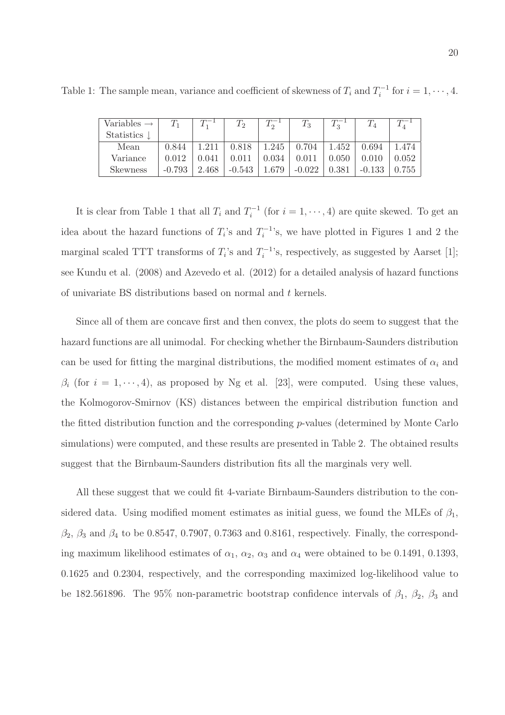| Variables $\rightarrow$ | $T_1$    |       | $T_2$     |       | $T_3$    |          | $T_{4}$  |           |
|-------------------------|----------|-------|-----------|-------|----------|----------|----------|-----------|
| Statistics $\downarrow$ |          |       |           |       |          |          |          |           |
| Mean                    | 0.844    |       | 0.818     | 1.245 | 0.704    | $+1.452$ | 0.694    | 1.474     |
| Variance                | 0.012    | 0.041 | $0.011\,$ | 0.034 | 0.011    | 0.050    | 0.010    | 0.052     |
| Skewness                | $-0.793$ | 2.468 | $-0.543$  | 1.679 | $-0.022$ | 0.381    | $-0.133$ | $0.755$ ' |

Table 1: The sample mean, variance and coefficient of skewness of  $T_i$  and  $T_i^{-1}$  $i_i^{-1}$  for  $i = 1, \dots, 4$ .

It is clear from Table 1 that all  $T_i$  and  $T_i^{-1}$  $i_i^{-1}$  (for  $i = 1, \dots, 4$ ) are quite skewed. To get an idea about the hazard functions of  $T_i$ 's and  $T_i^{-1}$  $i^{-1}$ 's, we have plotted in Figures 1 and 2 the marginal scaled TTT transforms of  $T_i$ 's and  $T_i^{-1}$  $i_i^{-1}$ 's, respectively, as suggested by Aarset [1]; see Kundu et al. (2008) and Azevedo et al. (2012) for a detailed analysis of hazard functions of univariate BS distributions based on normal and t kernels.

Since all of them are concave first and then convex, the plots do seem to suggest that the hazard functions are all unimodal. For checking whether the Birnbaum-Saunders distribution can be used for fitting the marginal distributions, the modified moment estimates of  $\alpha_i$  and  $\beta_i$  (for  $i = 1, \dots, 4$ ), as proposed by Ng et al. [23], were computed. Using these values, the Kolmogorov-Smirnov (KS) distances between the empirical distribution function and the fitted distribution function and the corresponding p-values (determined by Monte Carlo simulations) were computed, and these results are presented in Table 2. The obtained results suggest that the Birnbaum-Saunders distribution fits all the marginals very well.

All these suggest that we could fit 4-variate Birnbaum-Saunders distribution to the considered data. Using modified moment estimates as initial guess, we found the MLEs of  $\beta_1$ ,  $\beta_2$ ,  $\beta_3$  and  $\beta_4$  to be 0.8547, 0.7907, 0.7363 and 0.8161, respectively. Finally, the corresponding maximum likelihood estimates of  $\alpha_1$ ,  $\alpha_2$ ,  $\alpha_3$  and  $\alpha_4$  were obtained to be 0.1491, 0.1393, 0.1625 and 0.2304, respectively, and the corresponding maximized log-likelihood value to be 182.561896. The 95% non-parametric bootstrap confidence intervals of  $\beta_1$ ,  $\beta_2$ ,  $\beta_3$  and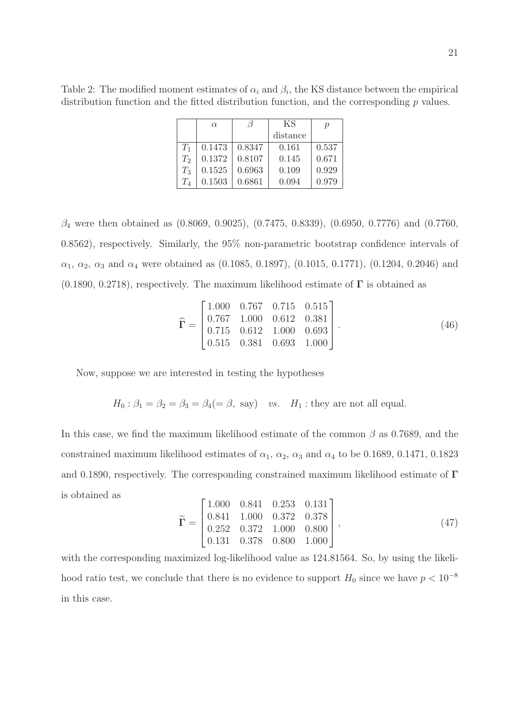Table 2: The modified moment estimates of  $\alpha_i$  and  $\beta_i$ , the KS distance between the empirical distribution function and the fitted distribution function, and the corresponding  $p$  values.

|         | $\alpha$ |        | ΚS       | р     |  |
|---------|----------|--------|----------|-------|--|
|         |          |        | distance |       |  |
| $T_1$   | 0.1473   | 0.8347 | 0.161    | 0.537 |  |
| $T_2$   | 0.1372   | 0.8107 | 0.145    | 0.671 |  |
| $T_3$   | 0.1525   | 0.6963 | 0.109    | 0.929 |  |
| $T_{4}$ | 0.1503   | 0.6861 | 0.094    | 0.979 |  |

 $\beta_4$  were then obtained as  $(0.8069, 0.9025), (0.7475, 0.8339), (0.6950, 0.7776)$  and  $(0.7760,$ 0.8562), respectively. Similarly, the 95% non-parametric bootstrap confidence intervals of  $\alpha_1, \alpha_2, \alpha_3$  and  $\alpha_4$  were obtained as (0.1085, 0.1897), (0.1015, 0.1771), (0.1204, 0.2046) and  $(0.1890, 0.2718)$ , respectively. The maximum likelihood estimate of  $\Gamma$  is obtained as

$$
\widehat{\mathbf{\Gamma}} = \begin{bmatrix} 1.000 & 0.767 & 0.715 & 0.515 \\ 0.767 & 1.000 & 0.612 & 0.381 \\ 0.715 & 0.612 & 1.000 & 0.693 \\ 0.515 & 0.381 & 0.693 & 1.000 \end{bmatrix} . \tag{46}
$$

Now, suppose we are interested in testing the hypotheses

$$
H_0: \beta_1 = \beta_2 = \beta_3 = \beta_4 (= \beta, \text{ say})
$$
 vs.  $H_1$ : they are not all equal.

In this case, we find the maximum likelihood estimate of the common  $\beta$  as 0.7689, and the constrained maximum likelihood estimates of  $\alpha_1$ ,  $\alpha_2$ ,  $\alpha_3$  and  $\alpha_4$  to be 0.1689, 0.1471, 0.1823 and 0.1890, respectively. The corresponding constrained maximum likelihood estimate of Γ is obtained as

$$
\widetilde{\Gamma} = \begin{bmatrix} 1.000 & 0.841 & 0.253 & 0.131 \\ 0.841 & 1.000 & 0.372 & 0.378 \\ 0.252 & 0.372 & 1.000 & 0.800 \\ 0.131 & 0.378 & 0.800 & 1.000 \end{bmatrix},
$$
\n(47)

with the corresponding maximized log-likelihood value as 124.81564. So, by using the likelihood ratio test, we conclude that there is no evidence to support  $H_0$  since we have  $p < 10^{-8}$ in this case.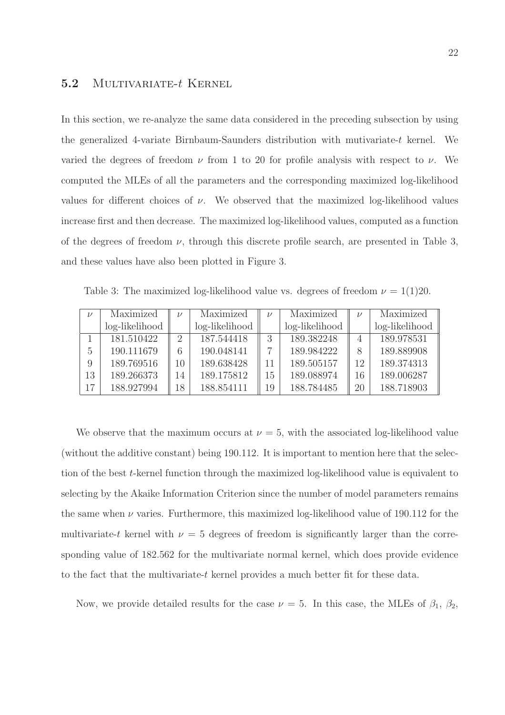### 5.2 MULTIVARIATE-t KERNEL

In this section, we re-analyze the same data considered in the preceding subsection by using the generalized 4-variate Birnbaum-Saunders distribution with mutivariate-t kernel. We varied the degrees of freedom  $\nu$  from 1 to 20 for profile analysis with respect to  $\nu$ . We computed the MLEs of all the parameters and the corresponding maximized log-likelihood values for different choices of  $\nu$ . We observed that the maximized log-likelihood values increase first and then decrease. The maximized log-likelihood values, computed as a function of the degrees of freedom  $\nu$ , through this discrete profile search, are presented in Table 3, and these values have also been plotted in Figure 3.

Table 3: The maximized log-likelihood value vs. degrees of freedom  $\nu = 1(1)20$ .

| $\mathcal{U}$ | Maximized      | $\nu$                       | Maximized      | $\nu$ | Maximized      | $\nu$ | Maximized      |
|---------------|----------------|-----------------------------|----------------|-------|----------------|-------|----------------|
|               | log-likelihood |                             | log-likelihood |       | log-likelihood |       | log-likelihood |
|               | 181.510422     | $\mathcal{D}_{\mathcal{L}}$ | 187.544418     |       | 189.382248     |       | 189.978531     |
| 5             | 190.111679     | 6                           | 190.048141     |       | 189.984222     |       | 189.889908     |
| 9             | 189.769516     | 10                          | 189.638428     | 11    | 189.505157     | 12    | 189.374313     |
| 13            | 189.266373     | 14                          | 189.175812     | 15    | 189.088974     | 16    | 189.006287     |
| 17            | 188.927994     | 18                          | 188.854111     | 19    | 188.784485     | 20    | 188.718903     |

We observe that the maximum occurs at  $\nu = 5$ , with the associated log-likelihood value (without the additive constant) being 190.112. It is important to mention here that the selection of the best t-kernel function through the maximized log-likelihood value is equivalent to selecting by the Akaike Information Criterion since the number of model parameters remains the same when  $\nu$  varies. Furthermore, this maximized log-likelihood value of 190.112 for the multivariate-t kernel with  $\nu = 5$  degrees of freedom is significantly larger than the corresponding value of 182.562 for the multivariate normal kernel, which does provide evidence to the fact that the multivariate-t kernel provides a much better fit for these data.

Now, we provide detailed results for the case  $\nu = 5$ . In this case, the MLEs of  $\beta_1$ ,  $\beta_2$ ,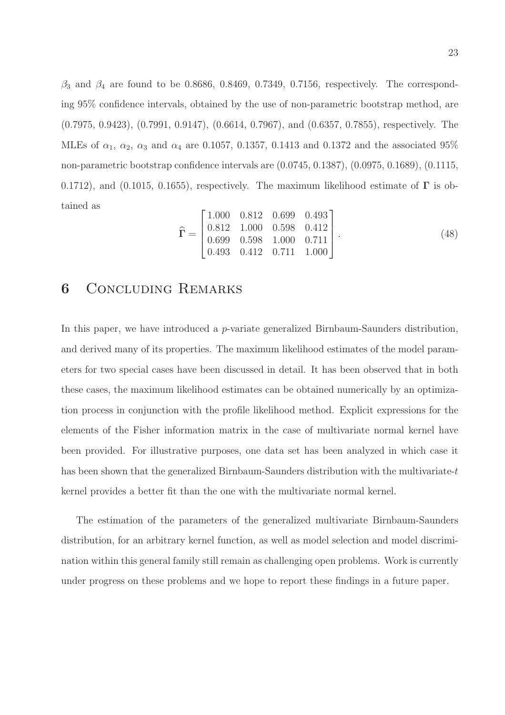$\beta_3$  and  $\beta_4$  are found to be 0.8686, 0.8469, 0.7349, 0.7156, respectively. The corresponding 95% confidence intervals, obtained by the use of non-parametric bootstrap method, are (0.7975, 0.9423), (0.7991, 0.9147), (0.6614, 0.7967), and (0.6357, 0.7855), respectively. The MLEs of  $\alpha_1$ ,  $\alpha_2$ ,  $\alpha_3$  and  $\alpha_4$  are 0.1057, 0.1357, 0.1413 and 0.1372 and the associated 95% non-parametric bootstrap confidence intervals are (0.0745, 0.1387), (0.0975, 0.1689), (0.1115, 0.1712), and (0.1015, 0.1655), respectively. The maximum likelihood estimate of  $\Gamma$  is obtained as

$$
\widehat{\mathbf{\Gamma}} = \begin{bmatrix} 1.000 & 0.812 & 0.699 & 0.493 \\ 0.812 & 1.000 & 0.598 & 0.412 \\ 0.699 & 0.598 & 1.000 & 0.711 \\ 0.493 & 0.412 & 0.711 & 1.000 \end{bmatrix} . \tag{48}
$$

### 6 Concluding Remarks

In this paper, we have introduced a *p*-variate generalized Birnbaum-Saunders distribution, and derived many of its properties. The maximum likelihood estimates of the model parameters for two special cases have been discussed in detail. It has been observed that in both these cases, the maximum likelihood estimates can be obtained numerically by an optimization process in conjunction with the profile likelihood method. Explicit expressions for the elements of the Fisher information matrix in the case of multivariate normal kernel have been provided. For illustrative purposes, one data set has been analyzed in which case it has been shown that the generalized Birnbaum-Saunders distribution with the multivariate-t kernel provides a better fit than the one with the multivariate normal kernel.

The estimation of the parameters of the generalized multivariate Birnbaum-Saunders distribution, for an arbitrary kernel function, as well as model selection and model discrimination within this general family still remain as challenging open problems. Work is currently under progress on these problems and we hope to report these findings in a future paper.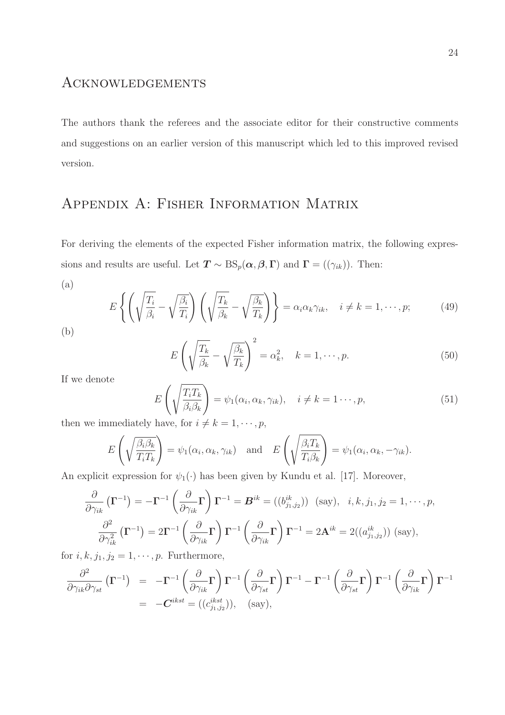### Acknowledgements

The authors thank the referees and the associate editor for their constructive comments and suggestions on an earlier version of this manuscript which led to this improved revised version.

# Appendix A: Fisher Information Matrix

For deriving the elements of the expected Fisher information matrix, the following expressions and results are useful. Let  $T \sim BS_p(\alpha, \beta, \Gamma)$  and  $\Gamma = ((\gamma_{ik}))$ . Then:

(a)

$$
E\left\{ \left( \sqrt{\frac{T_i}{\beta_i}} - \sqrt{\frac{\beta_i}{T_i}} \right) \left( \sqrt{\frac{T_k}{\beta_k}} - \sqrt{\frac{\beta_k}{T_k}} \right) \right\} = \alpha_i \alpha_k \gamma_{ik}, \quad i \neq k = 1, \dots, p; \tag{49}
$$

$$
E\left(\sqrt{\frac{T_k}{\beta_k}} - \sqrt{\frac{\beta_k}{T_k}}\right)^2 = \alpha_k^2, \quad k = 1, \cdots, p. \tag{50}
$$

If we denote

$$
E\left(\sqrt{\frac{T_i T_k}{\beta_i \beta_k}}\right) = \psi_1(\alpha_i, \alpha_k, \gamma_{ik}), \quad i \neq k = 1 \cdots, p,
$$
\n(51)

then we immediately have, for  $i \neq k = 1, \dots, p$ ,

$$
E\left(\sqrt{\frac{\beta_i \beta_k}{T_i T_k}}\right) = \psi_1(\alpha_i, \alpha_k, \gamma_{ik}) \text{ and } E\left(\sqrt{\frac{\beta_i T_k}{T_i \beta_k}}\right) = \psi_1(\alpha_i, \alpha_k, -\gamma_{ik}).
$$

An explicit expression for  $\psi_1(\cdot)$  has been given by Kundu et al. [17]. Moreover,

$$
\frac{\partial}{\partial \gamma_{ik}} (\mathbf{\Gamma}^{-1}) = -\mathbf{\Gamma}^{-1} \left( \frac{\partial}{\partial \gamma_{ik}} \mathbf{\Gamma} \right) \mathbf{\Gamma}^{-1} = \mathbf{B}^{ik} = ((b_{j_1, j_2}^{ik})) \text{ (say)}, \quad i, k, j_1, j_2 = 1, \cdots, p,
$$

$$
\frac{\partial^2}{\partial \gamma_{ik}^2} (\mathbf{\Gamma}^{-1}) = 2\mathbf{\Gamma}^{-1} \left( \frac{\partial}{\partial \gamma_{ik}} \mathbf{\Gamma} \right) \mathbf{\Gamma}^{-1} \left( \frac{\partial}{\partial \gamma_{ik}} \mathbf{\Gamma} \right) \mathbf{\Gamma}^{-1} = 2\mathbf{A}^{ik} = 2((a_{j_1, j_2}^{ik})) \text{ (say)},
$$

for  $i, k, j_1, j_2 = 1, \dots, p$ . Furthermore,

$$
\frac{\partial^2}{\partial \gamma_{ik} \partial \gamma_{st}} (\mathbf{\Gamma}^{-1}) = -\mathbf{\Gamma}^{-1} \left( \frac{\partial}{\partial \gamma_{ik}} \mathbf{\Gamma} \right) \mathbf{\Gamma}^{-1} \left( \frac{\partial}{\partial \gamma_{st}} \mathbf{\Gamma} \right) \mathbf{\Gamma}^{-1} - \mathbf{\Gamma}^{-1} \left( \frac{\partial}{\partial \gamma_{st}} \mathbf{\Gamma} \right) \mathbf{\Gamma}^{-1} \left( \frac{\partial}{\partial \gamma_{ik}} \mathbf{\Gamma} \right) \mathbf{\Gamma}^{-1}
$$
\n
$$
= -C^{ikst} = ((c_{j_1, j_2}^{ikst})), \quad \text{(say)},
$$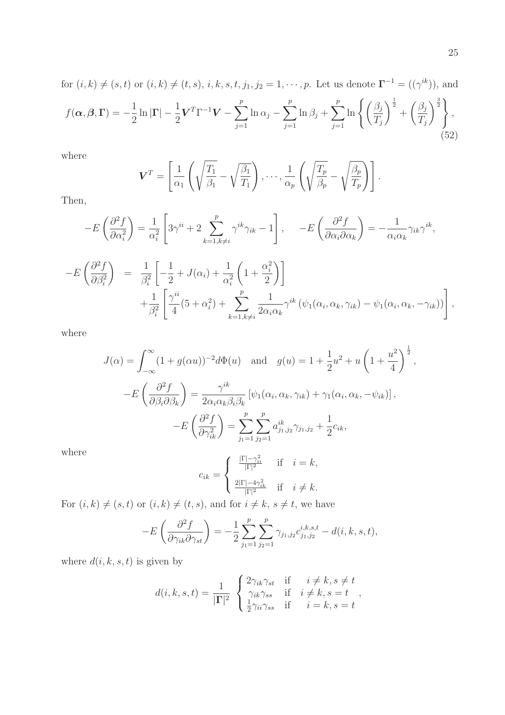for 
$$
(i,k) \neq (s,t)
$$
 or  $(i,k) \neq (t,s)$ ,  $i, k, s, t, j_1, j_2 = 1, \dots, p$ . Let us denote  $\Gamma^{-1} = ((\gamma^{ik}))$ , and  
\n
$$
f(\alpha, \beta, \Gamma) = -\frac{1}{2} \ln |\Gamma| - \frac{1}{2} \mathbf{V}^T \Gamma^{-1} \mathbf{V} - \sum_{j=1}^p \ln \alpha_j - \sum_{j=1}^p \ln \beta_j + \sum_{j=1}^p \ln \left\{ \left( \frac{\beta_j}{T_j} \right)^{\frac{1}{2}} + \left( \frac{\beta_j}{T_j} \right)^{\frac{3}{2}} \right\},
$$
\n(52)

where

$$
\mathbf{V}^T = \left[ \frac{1}{\alpha_1} \left( \sqrt{\frac{T_1}{\beta_1}} - \sqrt{\frac{\beta_1}{T_1}} \right), \cdots, \frac{1}{\alpha_p} \left( \sqrt{\frac{T_p}{\beta_p}} - \sqrt{\frac{\beta_p}{T_p}} \right) \right].
$$

Then,

$$
-E\left(\frac{\partial^2 f}{\partial \alpha_i^2}\right) = \frac{1}{\alpha_i^2} \left[3\gamma^{ii} + 2\sum_{k=1, k\neq i}^p \gamma^{ik}\gamma_{ik} - 1\right], \quad -E\left(\frac{\partial^2 f}{\partial \alpha_i \partial \alpha_k}\right) = -\frac{1}{\alpha_i \alpha_k} \gamma_{ik} \gamma^{ik},
$$
  

$$
-E\left(\frac{\partial^2 f}{\partial \beta_i^2}\right) = \frac{1}{\beta_i^2} \left[-\frac{1}{2} + J(\alpha_i) + \frac{1}{\alpha_i^2} \left(1 + \frac{\alpha_i^2}{2}\right)\right]
$$
  

$$
+ \frac{1}{\beta_i^2} \left[\frac{\gamma^{ii}}{4} (5 + \alpha_i^2) + \sum_{k=1, k\neq i}^p \frac{1}{2\alpha_i \alpha_k} \gamma^{ik} \left(\psi_1(\alpha_i, \alpha_k, \gamma_{ik}) - \psi_1(\alpha_i, \alpha_k, -\gamma_{ik})\right)\right],
$$

where

$$
J(\alpha) = \int_{-\infty}^{\infty} (1 + g(\alpha u))^{-2} d\Phi(u) \text{ and } g(u) = 1 + \frac{1}{2}u^2 + u\left(1 + \frac{u^2}{4}\right)^{\frac{1}{2}},
$$
  

$$
-E\left(\frac{\partial^2 f}{\partial \beta_i \partial \beta_k}\right) = \frac{\gamma^{ik}}{2\alpha_i \alpha_k \beta_i \beta_k} \left[\psi_1(\alpha_i, \alpha_k, \gamma_{ik}) + \gamma_1(\alpha_i, \alpha_k, -\psi_{ik})\right],
$$
  

$$
-E\left(\frac{\partial^2 f}{\partial \gamma_{ik}^2}\right) = \sum_{j_1=1}^p \sum_{j_2=1}^p a_{j_1, j_2}^{ik} \gamma_{j_1, j_2} + \frac{1}{2}c_{ik},
$$

where

$$
c_{ik} = \begin{cases} \frac{|\Gamma| - \gamma_{ii}^2}{|\Gamma|^2} & \text{if } i = k, \\ \frac{2|\Gamma| - 4\gamma_{ik}^2}{|\Gamma|^2} & \text{if } i \neq k. \end{cases}
$$

For  $(i,k) \neq (s,t)$  or  $(i,k) \neq (t,s)$ , and for  $i \neq k$ ,  $s \neq t$ , we have

$$
-E\left(\frac{\partial^2 f}{\partial \gamma_{ik}\partial \gamma_{st}}\right) = -\frac{1}{2} \sum_{j_1=1}^p \sum_{j_2=1}^p \gamma_{j_1,j_2} c_{j_1,j_2}^{i,k,s,t} - d(i,k,s,t),
$$

where  $d(i, k, s, t)$  is given by

$$
d(i,k,s,t) = \frac{1}{|\mathbf{\Gamma}|^2} \begin{cases} 2\gamma_{ik}\gamma_{st} & \text{if } i \neq k, s \neq t \\ \gamma_{ik}\gamma_{ss} & \text{if } i \neq k, s = t \\ \frac{1}{2}\gamma_{ii}\gamma_{ss} & \text{if } i = k, s = t \end{cases},
$$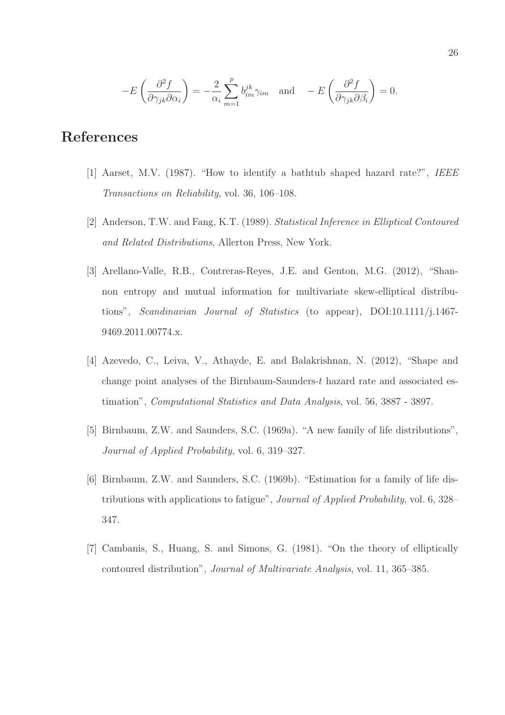$$
-E\left(\frac{\partial^2 f}{\partial \gamma_{jk}\partial \alpha_i}\right) = -\frac{2}{\alpha_i} \sum_{m=1}^p b_{im}^{jk} \gamma_{im} \text{ and } -E\left(\frac{\partial^2 f}{\partial \gamma_{jk}\partial \beta_i}\right) = 0.
$$

# References

- [1] Aarset, M.V. (1987). "How to identify a bathtub shaped hazard rate?", IEEE Transactions on Reliability, vol. 36, 106–108.
- [2] Anderson, T.W. and Fang, K.T. (1989). Statistical Inference in Elliptical Contoured and Related Distributions, Allerton Press, New York.
- [3] Arellano-Valle, R.B., Contreras-Reyes, J.E. and Genton, M.G. (2012), "Shannon entropy and mutual information for multivariate skew-elliptical distributions", Scandinavian Journal of Statistics (to appear), DOI:10.1111/j.1467- 9469.2011.00774.x.
- [4] Azevedo, C., Leiva, V., Athayde, E. and Balakrishnan, N. (2012), "Shape and change point analyses of the Birnbaum-Saunders-t hazard rate and associated estimation", Computational Statistics and Data Analysis, vol. 56, 3887 - 3897.
- [5] Birnbaum, Z.W. and Saunders, S.C. (1969a). "A new family of life distributions", Journal of Applied Probability, vol. 6, 319–327.
- [6] Birnbaum, Z.W. and Saunders, S.C. (1969b). "Estimation for a family of life distributions with applications to fatigue", Journal of Applied Probability, vol. 6, 328– 347.
- [7] Cambanis, S., Huang, S. and Simons, G. (1981). "On the theory of elliptically contoured distribution", Journal of Multivariate Analysis, vol. 11, 365–385.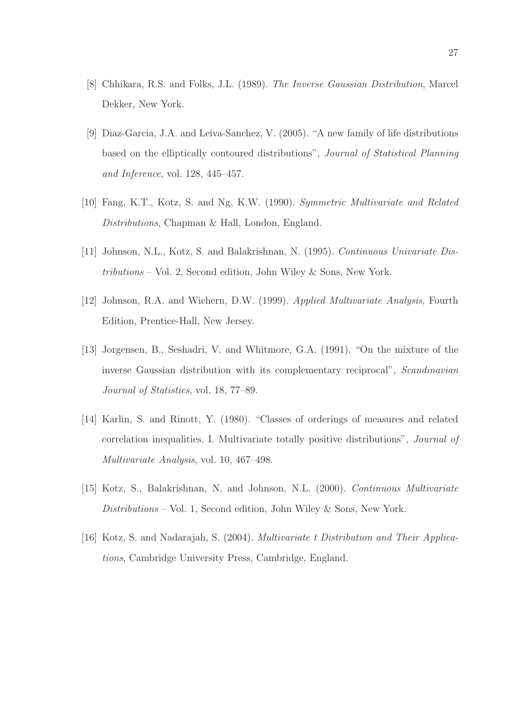- [8] Chhikara, R.S. and Folks, J.L. (1989). The Inverse Gaussian Distribution, Marcel Dekker, New York.
- [9] Diaz-Garcia, J.A. and Leiva-Sanchez, V. (2005). "A new family of life distributions based on the elliptically contoured distributions", Journal of Statistical Planning and Inference, vol. 128, 445–457.
- [10] Fang, K.T., Kotz, S. and Ng, K.W. (1990). Symmetric Multivariate and Related Distributions, Chapman & Hall, London, England.
- [11] Johnson, N.L., Kotz, S. and Balakrishnan, N. (1995). Continuous Univariate Distributions – Vol. 2, Second edition, John Wiley & Sons, New York.
- [12] Johnson, R.A. and Wichern, D.W. (1999). Applied Multivariate Analysis, Fourth Edition, Prentice-Hall, New Jersey.
- [13] Jorgensen, B., Seshadri, V. and Whitmore, G.A. (1991). "On the mixture of the inverse Gaussian distribution with its complementary reciprocal", Scandinavian Journal of Statistics, vol. 18, 77–89.
- [14] Karlin, S. and Rinott, Y. (1980). "Classes of orderings of measures and related correlation inequalities. I. Multivariate totally positive distributions", Journal of Multivariate Analysis, vol. 10, 467–498.
- [15] Kotz, S., Balakrishnan, N. and Johnson, N.L. (2000). Continuous Multivariate Distributions – Vol. 1, Second edition, John Wiley & Sons, New York.
- [16] Kotz, S. and Nadarajah, S. (2004). Multivariate t Distribution and Their Applications, Cambridge University Press, Cambridge, England.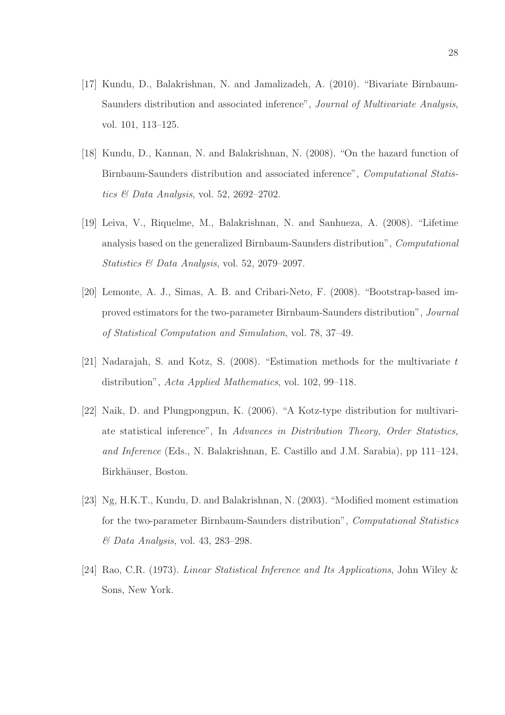- [17] Kundu, D., Balakrishnan, N. and Jamalizadeh, A. (2010). "Bivariate Birnbaum-Saunders distribution and associated inference", Journal of Multivariate Analysis, vol. 101, 113–125.
- [18] Kundu, D., Kannan, N. and Balakrishnan, N. (2008). "On the hazard function of Birnbaum-Saunders distribution and associated inference", Computational Statistics & Data Analysis, vol. 52, 2692–2702.
- [19] Leiva, V., Riquelme, M., Balakrishnan, N. and Sanhueza, A. (2008). "Lifetime analysis based on the generalized Birnbaum-Saunders distribution", Computational Statistics & Data Analysis, vol. 52, 2079–2097.
- [20] Lemonte, A. J., Simas, A. B. and Cribari-Neto, F. (2008). "Bootstrap-based improved estimators for the two-parameter Birnbaum-Saunders distribution", Journal of Statistical Computation and Simulation, vol. 78, 37–49.
- [21] Nadarajah, S. and Kotz, S. (2008). "Estimation methods for the multivariate t distribution", Acta Applied Mathematics, vol. 102, 99–118.
- [22] Naik, D. and Plungpongpun, K. (2006). "A Kotz-type distribution for multivariate statistical inference", In Advances in Distribution Theory, Order Statistics, and Inference (Eds., N. Balakrishnan, E. Castillo and J.M. Sarabia), pp 111–124, Birkhäuser, Boston.
- [23] Ng, H.K.T., Kundu, D. and Balakrishnan, N. (2003). "Modified moment estimation for the two-parameter Birnbaum-Saunders distribution", Computational Statistics & Data Analysis, vol. 43, 283–298.
- [24] Rao, C.R. (1973). Linear Statistical Inference and Its Applications, John Wiley & Sons, New York.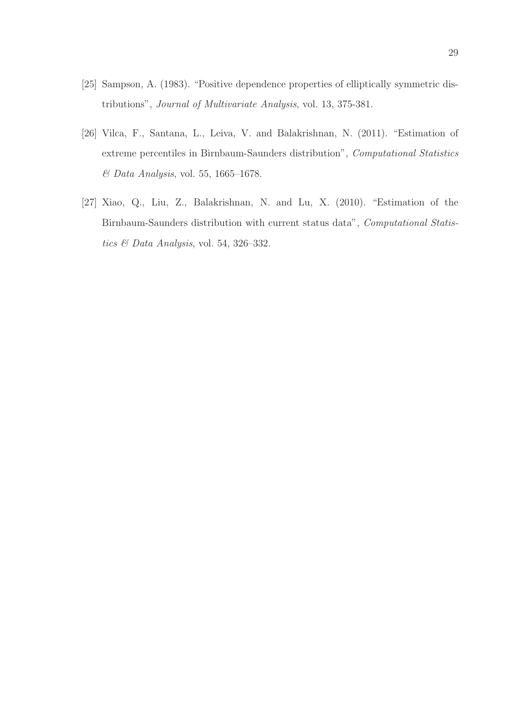- [25] Sampson, A. (1983). "Positive dependence properties of elliptically symmetric distributions", Journal of Multivariate Analysis, vol. 13, 375-381.
- [26] Vilca, F., Santana, L., Leiva, V. and Balakrishnan, N. (2011). "Estimation of extreme percentiles in Birnbaum-Saunders distribution", Computational Statistics & Data Analysis, vol. 55, 1665–1678.
- [27] Xiao, Q., Liu, Z., Balakrishnan, N. and Lu, X. (2010). "Estimation of the Birnbaum-Saunders distribution with current status data", Computational Statistics & Data Analysis, vol. 54, 326–332.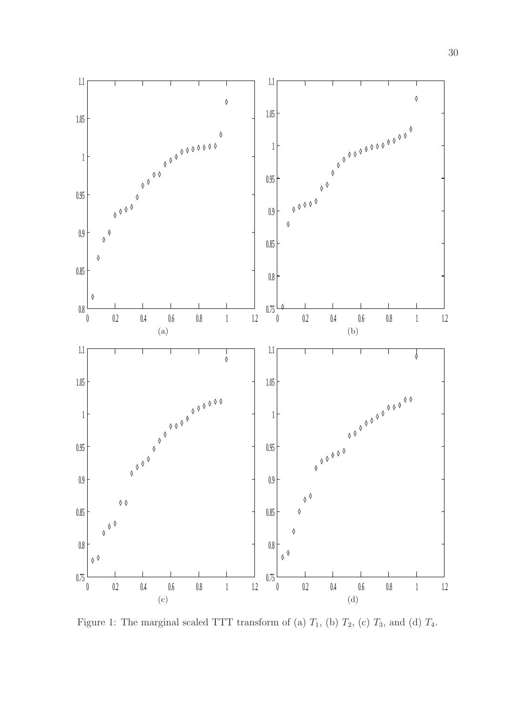

Figure 1: The marginal scaled TTT transform of (a)  $T_1$ , (b)  $T_2$ , (c)  $T_3$ , and (d)  $T_4$ .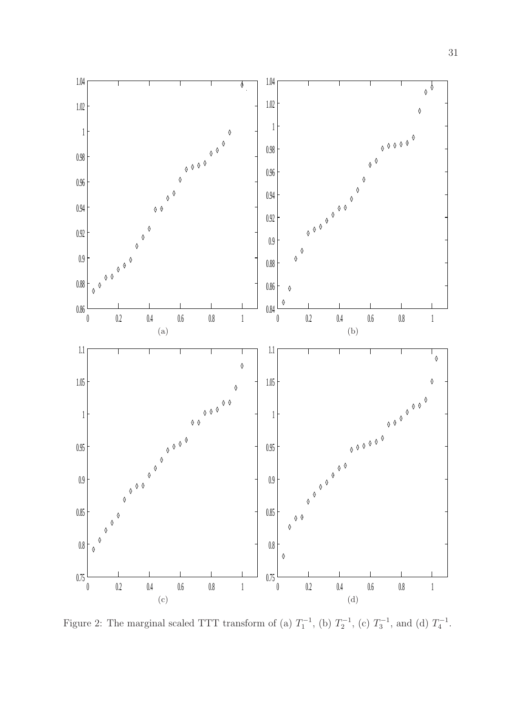

Figure 2: The marginal scaled TTT transform of (a)  $T_1^{-1}$ , (b)  $T_2^{-1}$ , (c)  $T_3^{-1}$ , and (d)  $T_4^{-1}$ .